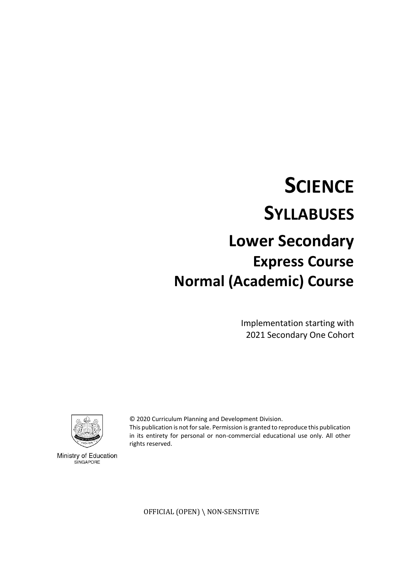# **SCIENCE SYLLABUSES Lower Secondary Express Course Normal (Academic) Course**

Implementation starting with 2021 Secondary One Cohort

© 2020 Curriculum Planning and Development Division. This publication is not for sale. Permission is granted to reproduce this publication in its entirety for personal or non-commercial educational use only. All other rights reserved.



Ministry of Education SINGAPORE

OFFICIAL (OPEN) \ NON-SENSITIVE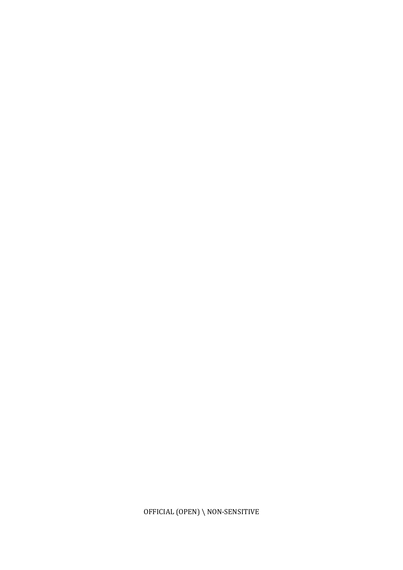# OFFICIAL (OPEN) \ NON-SENSITIVE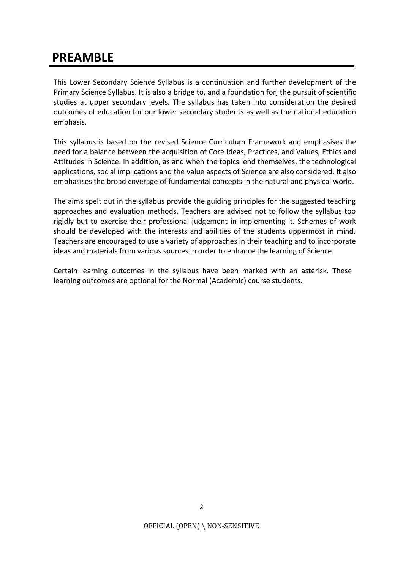# **PREAMBLE**

This Lower Secondary Science Syllabus is a continuation and further development of the Primary Science Syllabus. It is also a bridge to, and a foundation for, the pursuit of scientific studies at upper secondary levels. The syllabus has taken into consideration the desired outcomes of education for our lower secondary students as well as the national education emphasis.

This syllabus is based on the revised Science Curriculum Framework and emphasises the need for a balance between the acquisition of Core Ideas, Practices, and Values, Ethics and Attitudes in Science. In addition, as and when the topics lend themselves, the technological applications, social implications and the value aspects of Science are also considered. It also emphasises the broad coverage of fundamental concepts in the natural and physical world.

The aims spelt out in the syllabus provide the guiding principles for the suggested teaching approaches and evaluation methods. Teachers are advised not to follow the syllabus too rigidly but to exercise their professional judgement in implementing it. Schemes of work should be developed with the interests and abilities of the students uppermost in mind. Teachers are encouraged to use a variety of approaches in their teaching and to incorporate ideas and materials from various sources in order to enhance the learning of Science.

Certain learning outcomes in the syllabus have been marked with an asterisk. These learning outcomes are optional for the Normal (Academic) course students.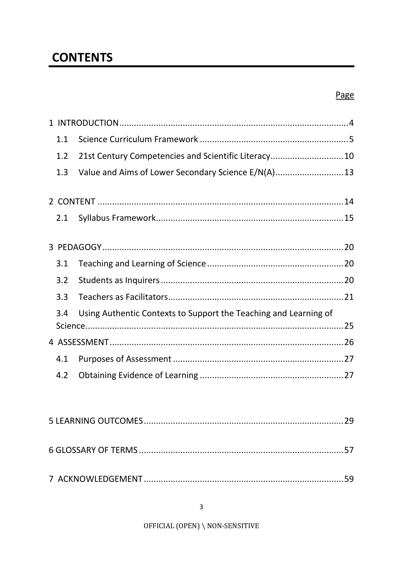# **CONTENTS**

| 1.1 |                                                                  |  |  |  |
|-----|------------------------------------------------------------------|--|--|--|
| 1.2 | 21st Century Competencies and Scientific Literacy 10             |  |  |  |
| 1.3 | Value and Aims of Lower Secondary Science E/N(A) 13              |  |  |  |
|     |                                                                  |  |  |  |
| 2.1 |                                                                  |  |  |  |
|     |                                                                  |  |  |  |
|     |                                                                  |  |  |  |
| 3.1 |                                                                  |  |  |  |
| 3.2 |                                                                  |  |  |  |
| 3.3 |                                                                  |  |  |  |
| 3.4 | Using Authentic Contexts to Support the Teaching and Learning of |  |  |  |
|     |                                                                  |  |  |  |
| 4.1 |                                                                  |  |  |  |
| 4.2 |                                                                  |  |  |  |
|     |                                                                  |  |  |  |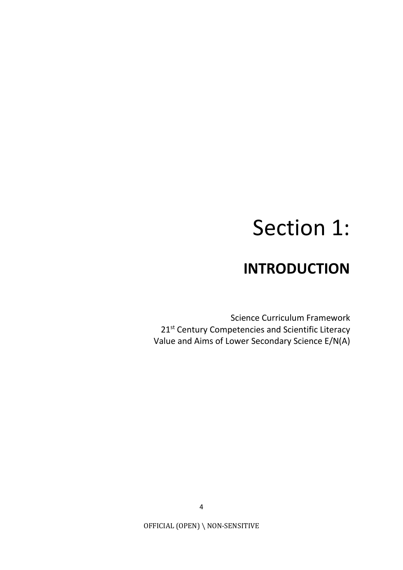# Section 1:

# **INTRODUCTION**

<span id="page-4-0"></span>Science Curriculum Framework 21<sup>st</sup> Century Competencies and Scientific Literacy Value and Aims of Lower Secondary Science E/N(A)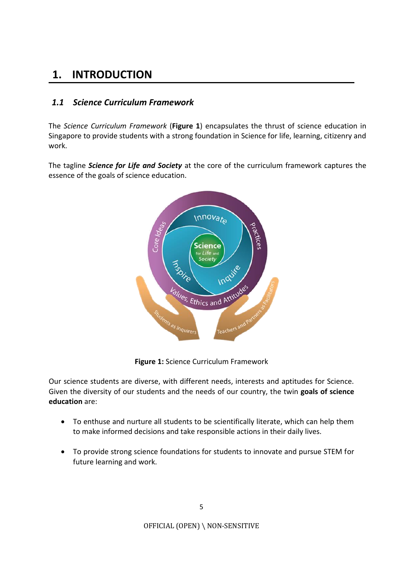# **1. INTRODUCTION**

# <span id="page-5-0"></span>*1.1 Science Curriculum Framework*

The *Science Curriculum Framework* (**Figure 1**) encapsulates the thrust of science education in Singapore to provide students with a strong foundation in Science for life, learning, citizenry and work.

The tagline *Science for Life and Society* at the core of the curriculum framework captures the essence of the goals of science education.



**Figure 1:** Science Curriculum Framework

Our science students are diverse, with different needs, interests and aptitudes for Science. Given the diversity of our students and the needs of our country, the twin **goals of science education** are:

- To enthuse and nurture all students to be scientifically literate, which can help them to make informed decisions and take responsible actions in their daily lives.
- To provide strong science foundations for students to innovate and pursue STEM for future learning and work.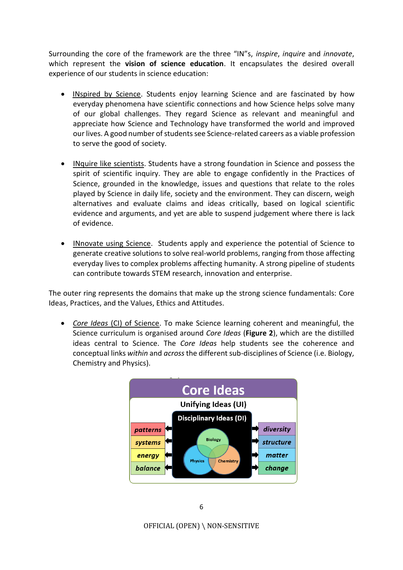Surrounding the core of the framework are the three "IN"s, *inspire*, *inquire* and *innovate*, which represent the **vision of science education**. It encapsulates the desired overall experience of our students in science education:

- INspired by Science. Students enjoy learning Science and are fascinated by how everyday phenomena have scientific connections and how Science helps solve many of our global challenges. They regard Science as relevant and meaningful and appreciate how Science and Technology have transformed the world and improved our lives. A good number of students see Science-related careers as a viable profession to serve the good of society.
- INquire like scientists. Students have a strong foundation in Science and possess the spirit of scientific inquiry. They are able to engage confidently in the Practices of Science, grounded in the knowledge, issues and questions that relate to the roles played by Science in daily life, society and the environment. They can discern, weigh alternatives and evaluate claims and ideas critically, based on logical scientific evidence and arguments, and yet are able to suspend judgement where there is lack of evidence.
- INnovate using Science. Students apply and experience the potential of Science to generate creative solutions to solve real-world problems, ranging from those affecting everyday lives to complex problems affecting humanity. A strong pipeline of students can contribute towards STEM research, innovation and enterprise.

The outer ring represents the domains that make up the strong science fundamentals: Core Ideas, Practices, and the Values, Ethics and Attitudes.

• *Core Ideas* (CI) of Science. To make Science learning coherent and meaningful, the Science curriculum is organised around *Core Ideas* (**Figure 2**), which are the distilled ideas central to Science. The *Core Ideas* help students see the coherence and conceptual links *within* and *across*the different sub-disciplines of Science (i.e. Biology, Chemistry and Physics).



OFFICIAL (OPEN) \ NON-SENSITIVE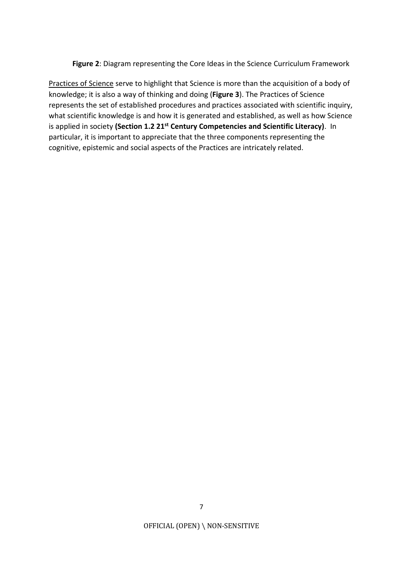**Figure 2**: Diagram representing the Core Ideas in the Science Curriculum Framework

Practices of Science serve to highlight that Science is more than the acquisition of a body of knowledge; it is also a way of thinking and doing (**Figure 3**). The Practices of Science represents the set of established procedures and practices associated with scientific inquiry, what scientific knowledge is and how it is generated and established, as well as how Science is applied in society **(Section 1.2 21st Century Competencies and Scientific Literacy)**. In particular, it is important to appreciate that the three components representing the cognitive, epistemic and social aspects of the Practices are intricately related.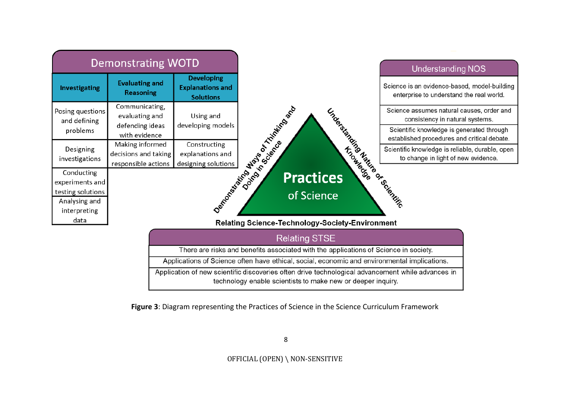| <b>Demonstrating WOTD</b>                                                                                                                                               |                                                     |                                                                  |  |  |  |  |  |  |
|-------------------------------------------------------------------------------------------------------------------------------------------------------------------------|-----------------------------------------------------|------------------------------------------------------------------|--|--|--|--|--|--|
| Investigating                                                                                                                                                           | <b>Evaluating and</b><br><b>Reasoning</b>           | <b>Developing</b><br><b>Explanations and</b><br><b>Solutions</b> |  |  |  |  |  |  |
| Posing questions<br>and defining                                                                                                                                        | Communicating,<br>evaluating and<br>defending ideas | Using and<br>developing models                                   |  |  |  |  |  |  |
| problems                                                                                                                                                                | with evidence                                       |                                                                  |  |  |  |  |  |  |
| Designing<br>investigations                                                                                                                                             | Making informed<br>decisions and taking             | Constructing<br>explanations and                                 |  |  |  |  |  |  |
| Deprocession in the Manuscript of the Ministers of the<br>Understanding or<br>responsible actions<br>designing solutions<br>Conducting<br><b>Practices</b><br>Jordoning |                                                     |                                                                  |  |  |  |  |  |  |
| testing solutions                                                                                                                                                       | experiments and<br>of Science                       |                                                                  |  |  |  |  |  |  |
| Analysing and                                                                                                                                                           |                                                     |                                                                  |  |  |  |  |  |  |
| interpreting<br>data<br><b>Relating Science-Technology-Society-Environment</b>                                                                                          |                                                     |                                                                  |  |  |  |  |  |  |
|                                                                                                                                                                         |                                                     |                                                                  |  |  |  |  |  |  |

| <b>Relating STSE</b>                                                                                                                                             |
|------------------------------------------------------------------------------------------------------------------------------------------------------------------|
| There are risks and benefits associated with the applications of Science in society.                                                                             |
| Applications of Science often have ethical, social, economic and environmental implications.                                                                     |
| Application of new scientific discoveries often drive technological advancement while advances in<br>technology enable scientists to make new or deeper inquiry. |

Figure 3: Diagram representing the Practices of Science in the Science Curriculum Framework

OFFICIAL (OPEN) \ NON-SENSITIVE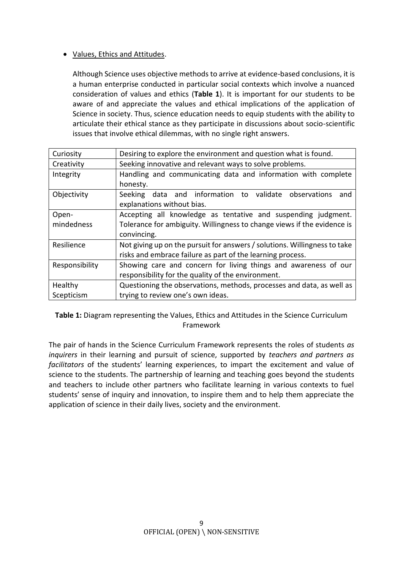# • Values, Ethics and Attitudes.

Although Science uses objective methods to arrive at evidence-based conclusions, it is a human enterprise conducted in particular social contexts which involve a nuanced consideration of values and ethics (**Table 1**). It is important for our students to be aware of and appreciate the values and ethical implications of the application of Science in society. Thus, science education needs to equip students with the ability to articulate their ethical stance as they participate in discussions about socio-scientific issues that involve ethical dilemmas, with no single right answers.

| Curiosity                                       | Desiring to explore the environment and question what is found.           |  |  |  |  |  |
|-------------------------------------------------|---------------------------------------------------------------------------|--|--|--|--|--|
| Creativity                                      | Seeking innovative and relevant ways to solve problems.                   |  |  |  |  |  |
| Integrity                                       | Handling and communicating data and information with complete             |  |  |  |  |  |
|                                                 | honesty.                                                                  |  |  |  |  |  |
| Objectivity                                     | Seeking data and information to validate observations<br>and              |  |  |  |  |  |
|                                                 | explanations without bias.                                                |  |  |  |  |  |
| Open-                                           | Accepting all knowledge as tentative and suspending judgment.             |  |  |  |  |  |
| mindedness                                      | Tolerance for ambiguity. Willingness to change views if the evidence is   |  |  |  |  |  |
|                                                 | convincing.                                                               |  |  |  |  |  |
| Resilience                                      | Not giving up on the pursuit for answers / solutions. Willingness to take |  |  |  |  |  |
|                                                 | risks and embrace failure as part of the learning process.                |  |  |  |  |  |
| Responsibility                                  | Showing care and concern for living things and awareness of our           |  |  |  |  |  |
|                                                 | responsibility for the quality of the environment.                        |  |  |  |  |  |
| Healthy                                         | Questioning the observations, methods, processes and data, as well as     |  |  |  |  |  |
| trying to review one's own ideas.<br>Scepticism |                                                                           |  |  |  |  |  |

# **Table 1:** Diagram representing the Values, Ethics and Attitudes in the Science Curriculum Framework

The pair of hands in the Science Curriculum Framework represents the roles of students *as inquirers* in their learning and pursuit of science, supported by *teachers and partners as facilitators* of the students' learning experiences, to impart the excitement and value of science to the students. The partnership of learning and teaching goes beyond the students and teachers to include other partners who facilitate learning in various contexts to fuel students' sense of inquiry and innovation, to inspire them and to help them appreciate the application of science in their daily lives, society and the environment.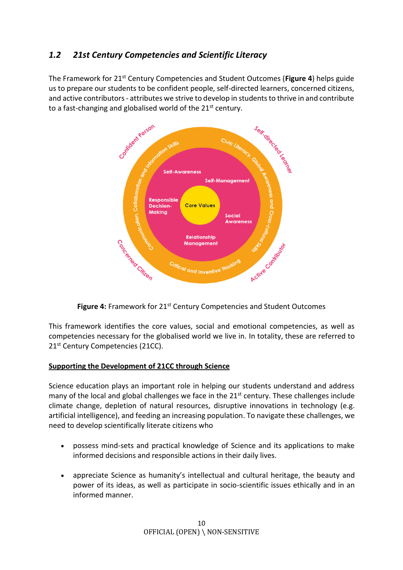# <span id="page-10-0"></span>*1.2 21st Century Competencies and Scientific Literacy*

The Framework for 21st Century Competencies and Student Outcomes (**Figure 4**) helps guide us to prepare our students to be confident people, self-directed learners, concerned citizens, and active contributors - attributes we strive to develop in students to thrive in and contribute to a fast-changing and globalised world of the 21<sup>st</sup> century.



Figure 4: Framework for 21<sup>st</sup> Century Competencies and Student Outcomes

This framework identifies the core values, social and emotional competencies, as well as competencies necessary for the globalised world we live in. In totality, these are referred to 21<sup>st</sup> Century Competencies (21CC).

# **Supporting the Development of 21CC through Science**

Science education plays an important role in helping our students understand and address many of the local and global challenges we face in the 21<sup>st</sup> century. These challenges include climate change, depletion of natural resources, disruptive innovations in technology (e.g. artificial intelligence), and feeding an increasing population. To navigate these challenges, we need to develop scientifically literate citizens who

- possess mind-sets and practical knowledge of Science and its applications to make informed decisions and responsible actions in their daily lives.
- appreciate Science as humanity's intellectual and cultural heritage, the beauty and power of its ideas, as well as participate in socio-scientific issues ethically and in an informed manner.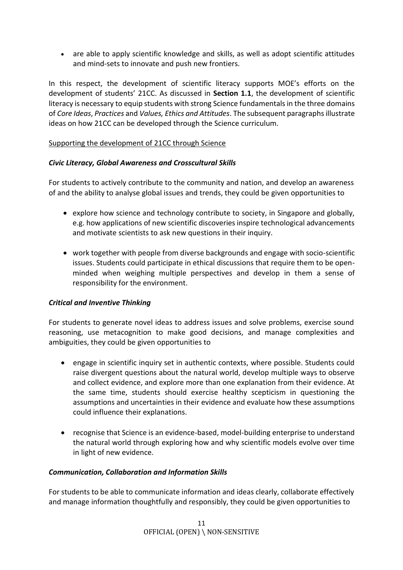• are able to apply scientific knowledge and skills, as well as adopt scientific attitudes and mind-sets to innovate and push new frontiers.

In this respect, the development of scientific literacy supports MOE's efforts on the development of students' 21CC. As discussed in **Section 1.1**, the development of scientific literacy is necessary to equip students with strong Science fundamentals in the three domains of *Core Ideas*, *Practices* and *Values, Ethics and Attitudes*. The subsequent paragraphs illustrate ideas on how 21CC can be developed through the Science curriculum.

# Supporting the development of 21CC through Science

# *Civic Literacy, Global Awareness and Crosscultural Skills*

For students to actively contribute to the community and nation, and develop an awareness of and the ability to analyse global issues and trends, they could be given opportunities to

- explore how science and technology contribute to society, in Singapore and globally, e.g. how applications of new scientific discoveries inspire technological advancements and motivate scientists to ask new questions in their inquiry.
- work together with people from diverse backgrounds and engage with socio-scientific issues. Students could participate in ethical discussions that require them to be openminded when weighing multiple perspectives and develop in them a sense of responsibility for the environment.

# *Critical and Inventive Thinking*

For students to generate novel ideas to address issues and solve problems, exercise sound reasoning, use metacognition to make good decisions, and manage complexities and ambiguities, they could be given opportunities to

- engage in scientific inquiry set in authentic contexts, where possible. Students could raise divergent questions about the natural world, develop multiple ways to observe and collect evidence, and explore more than one explanation from their evidence. At the same time, students should exercise healthy scepticism in questioning the assumptions and uncertainties in their evidence and evaluate how these assumptions could influence their explanations.
- recognise that Science is an evidence-based, model-building enterprise to understand the natural world through exploring how and why scientific models evolve over time in light of new evidence.

# *Communication, Collaboration and Information Skills*

For students to be able to communicate information and ideas clearly, collaborate effectively and manage information thoughtfully and responsibly, they could be given opportunities to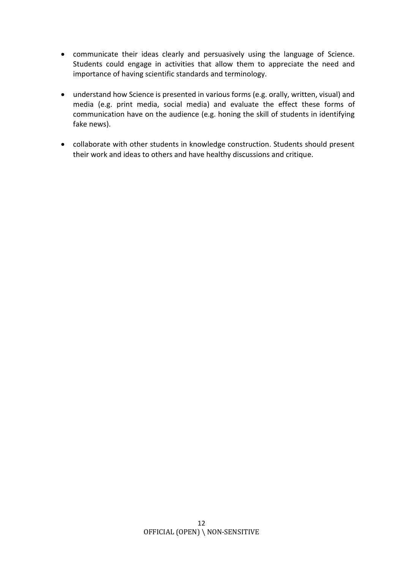- communicate their ideas clearly and persuasively using the language of Science. Students could engage in activities that allow them to appreciate the need and importance of having scientific standards and terminology.
- understand how Science is presented in various forms (e.g. orally, written, visual) and media (e.g. print media, social media) and evaluate the effect these forms of communication have on the audience (e.g. honing the skill of students in identifying fake news).
- collaborate with other students in knowledge construction. Students should present their work and ideas to others and have healthy discussions and critique.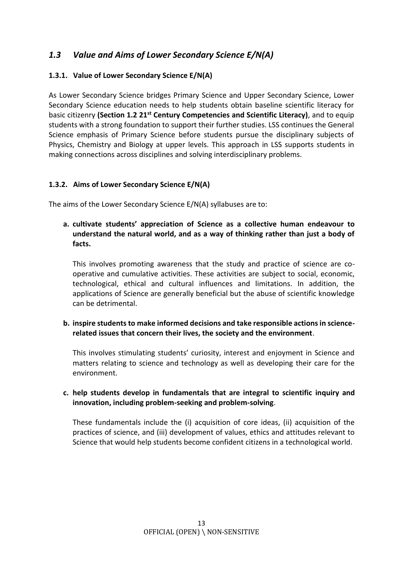# <span id="page-13-0"></span>*1.3 Value and Aims of Lower Secondary Science E/N(A)*

# **1.3.1. Value of Lower Secondary Science E/N(A)**

As Lower Secondary Science bridges Primary Science and Upper Secondary Science, Lower Secondary Science education needs to help students obtain baseline scientific literacy for basic citizenry **(Section 1.2 21st Century Competencies and Scientific Literacy)**, and to equip students with a strong foundation to support their further studies. LSS continues the General Science emphasis of Primary Science before students pursue the disciplinary subjects of Physics, Chemistry and Biology at upper levels. This approach in LSS supports students in making connections across disciplines and solving interdisciplinary problems.

# **1.3.2. Aims of Lower Secondary Science E/N(A)**

The aims of the Lower Secondary Science E/N(A) syllabuses are to:

**a. cultivate students' appreciation of Science as a collective human endeavour to understand the natural world, and as a way of thinking rather than just a body of facts.**

This involves promoting awareness that the study and practice of science are cooperative and cumulative activities. These activities are subject to social, economic, technological, ethical and cultural influences and limitations. In addition, the applications of Science are generally beneficial but the abuse of scientific knowledge can be detrimental.

**b. inspire students to make informed decisions and take responsible actions in sciencerelated issues that concern their lives, the society and the environment**.

This involves stimulating students' curiosity, interest and enjoyment in Science and matters relating to science and technology as well as developing their care for the environment.

**c. help students develop in fundamentals that are integral to scientific inquiry and innovation, including problem-seeking and problem-solving**.

These fundamentals include the (i) acquisition of core ideas, (ii) acquisition of the practices of science, and (iii) development of values, ethics and attitudes relevant to Science that would help students become confident citizens in a technological world.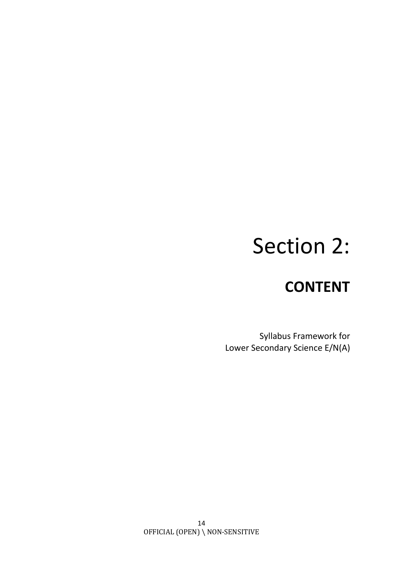# Section 2:

# **CONTENT**

<span id="page-14-0"></span>Syllabus Framework for Lower Secondary Science E/N(A)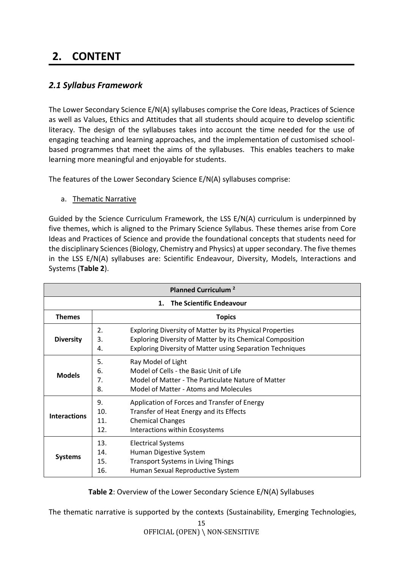# **2. CONTENT**

# <span id="page-15-0"></span>*2.1 Syllabus Framework*

The Lower Secondary Science E/N(A) syllabuses comprise the Core Ideas, Practices of Science as well as Values, Ethics and Attitudes that all students should acquire to develop scientific literacy. The design of the syllabuses takes into account the time needed for the use of engaging teaching and learning approaches, and the implementation of customised schoolbased programmes that meet the aims of the syllabuses. This enables teachers to make learning more meaningful and enjoyable for students.

The features of the Lower Secondary Science E/N(A) syllabuses comprise:

a. Thematic Narrative

Guided by the Science Curriculum Framework, the LSS E/N(A) curriculum is underpinned by five themes, which is aligned to the Primary Science Syllabus. These themes arise from Core Ideas and Practices of Science and provide the foundational concepts that students need for the disciplinary Sciences (Biology, Chemistry and Physics) at upper secondary. The five themes in the LSS E/N(A) syllabuses are: Scientific Endeavour, Diversity, Models, Interactions and Systems (**Table 2**).

| Planned Curriculum <sup>2</sup> |                                       |                                                                                                                                                                                                         |  |  |  |  |  |
|---------------------------------|---------------------------------------|---------------------------------------------------------------------------------------------------------------------------------------------------------------------------------------------------------|--|--|--|--|--|
|                                 | <b>The Scientific Endeavour</b><br>1. |                                                                                                                                                                                                         |  |  |  |  |  |
| <b>Themes</b>                   |                                       | <b>Topics</b>                                                                                                                                                                                           |  |  |  |  |  |
| <b>Diversity</b>                | 2.<br>3.<br>4.                        | <b>Exploring Diversity of Matter by its Physical Properties</b><br><b>Exploring Diversity of Matter by its Chemical Composition</b><br><b>Exploring Diversity of Matter using Separation Techniques</b> |  |  |  |  |  |
| <b>Models</b>                   | 5.<br>6.<br>7.<br>8.                  | Ray Model of Light<br>Model of Cells - the Basic Unit of Life<br>Model of Matter - The Particulate Nature of Matter<br>Model of Matter - Atoms and Molecules                                            |  |  |  |  |  |
| <b>Interactions</b>             | 9.<br>10.<br>11.<br>12.               | Application of Forces and Transfer of Energy<br>Transfer of Heat Energy and its Effects<br><b>Chemical Changes</b><br>Interactions within Ecosystems                                                    |  |  |  |  |  |
| <b>Systems</b>                  | 13.<br>14.<br>15.<br>16.              | <b>Electrical Systems</b><br>Human Digestive System<br><b>Transport Systems in Living Things</b><br>Human Sexual Reproductive System                                                                    |  |  |  |  |  |

**Table 2**: Overview of the Lower Secondary Science E/N(A) Syllabuses

The thematic narrative is supported by the contexts (Sustainability, Emerging Technologies,

15 OFFICIAL (OPEN) \ NON-SENSITIVE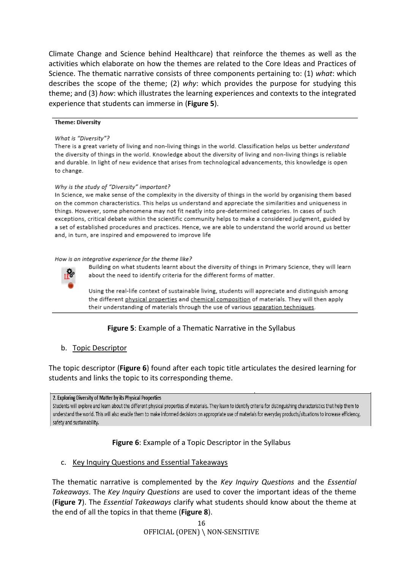Climate Change and Science behind Healthcare) that reinforce the themes as well as the activities which elaborate on how the themes are related to the Core Ideas and Practices of Science. The thematic narrative consists of three components pertaining to: (1) *what*: which describes the scope of the theme; (2) *why*: which provides the purpose for studying this theme; and (3) *how*: which illustrates the learning experiences and contexts to the integrated experience that students can immerse in (**Figure 5**).

### **Theme: Diversity**

### What is "Diversity"?

There is a great variety of living and non-living things in the world. Classification helps us better understand the diversity of things in the world. Knowledge about the diversity of living and non-living things is reliable and durable. In light of new evidence that arises from technological advancements, this knowledge is open to change.

## Why is the study of "Diversity" important?

In Science, we make sense of the complexity in the diversity of things in the world by organising them based on the common characteristics. This helps us understand and appreciate the similarities and uniqueness in things. However, some phenomena may not fit neatly into pre-determined categories. In cases of such exceptions, critical debate within the scientific community helps to make a considered judgment, guided by a set of established procedures and practices. Hence, we are able to understand the world around us better and, in turn, are inspired and empowered to improve life

### How is an integrative experience for the theme like?



Building on what students learnt about the diversity of things in Primary Science, they will learn about the need to identify criteria for the different forms of matter.

Using the real-life context of sustainable living, students will appreciate and distinguish among the different physical properties and chemical composition of materials. They will then apply their understanding of materials through the use of various separation techniques.

# **Figure 5**: Example of a Thematic Narrative in the Syllabus

# b. Topic Descriptor

The topic descriptor (**Figure 6**) found after each topic title articulates the desired learning for students and links the topic to its corresponding theme.

## 2. Exploring Diversity of Matter by its Physical Properties

Students will explore and learn about the different physical properties of materials. They learn to identify criteria for distinguishing characteristics that help them to understand the world. This will also enable them to make informed decisions on appropriate use of materials for everyday products/situations to increase efficiency, safety and sustainability.

# **Figure 6**: Example of a Topic Descriptor in the Syllabus

# c. Key Inquiry Questions and Essential Takeaways

The thematic narrative is complemented by the *Key Inquiry Questions* and the *Essential Takeaways*. The *Key Inquiry Questions* are used to cover the important ideas of the theme (**Figure 7**). The *Essential Takeaways* clarify what students should know about the theme at the end of all the topics in that theme (**Figure 8**).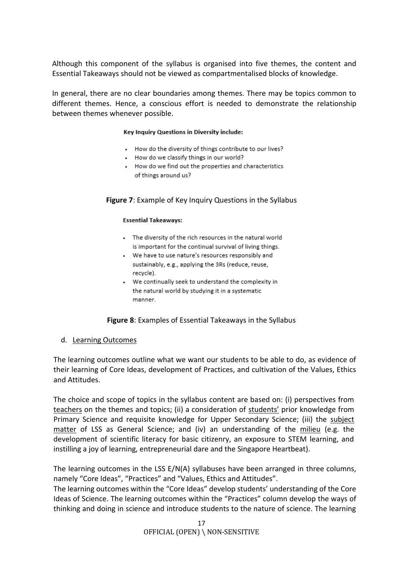Although this component of the syllabus is organised into five themes, the content and Essential Takeaways should not be viewed as compartmentalised blocks of knowledge.

In general, there are no clear boundaries among themes. There may be topics common to different themes. Hence, a conscious effort is needed to demonstrate the relationship between themes whenever possible.

## Key Inquiry Questions in Diversity include:

- How do the diversity of things contribute to our lives?
- How do we classify things in our world?
- How do we find out the properties and characteristics of things around us?

# **Figure 7**: Example of Key Inquiry Questions in the Syllabus

## **Essential Takeaways:**

- . The diversity of the rich resources in the natural world is important for the continual survival of living things.
- We have to use nature's resources responsibly and sustainably, e.g., applying the 3Rs (reduce, reuse, recycle).
- We continually seek to understand the complexity in the natural world by studying it in a systematic manner.

# **Figure 8**: Examples of Essential Takeaways in the Syllabus

# d. Learning Outcomes

The learning outcomes outline what we want our students to be able to do, as evidence of their learning of Core Ideas, development of Practices, and cultivation of the Values, Ethics and Attitudes.

The choice and scope of topics in the syllabus content are based on: (i) perspectives from teachers on the themes and topics; (ii) a consideration of students' prior knowledge from Primary Science and requisite knowledge for Upper Secondary Science; (iii) the subject matter of LSS as General Science; and (iv) an understanding of the milieu (e.g. the development of scientific literacy for basic citizenry, an exposure to STEM learning, and instilling a joy of learning, entrepreneurial dare and the Singapore Heartbeat).

The learning outcomes in the LSS  $E/N(A)$  syllabuses have been arranged in three columns, namely "Core Ideas", "Practices" and "Values, Ethics and Attitudes".

The learning outcomes within the "Core Ideas" develop students' understanding of the Core Ideas of Science. The learning outcomes within the "Practices" column develop the ways of thinking and doing in science and introduce students to the nature of science. The learning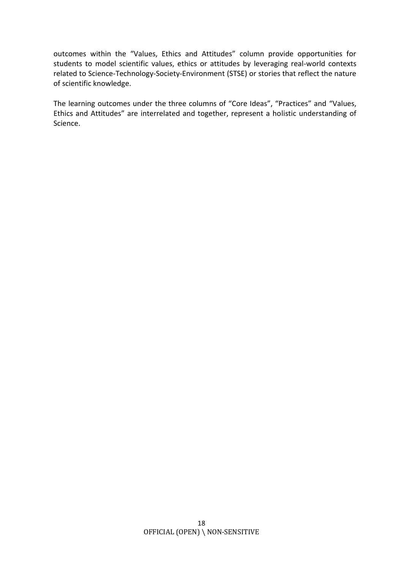outcomes within the "Values, Ethics and Attitudes" column provide opportunities for students to model scientific values, ethics or attitudes by leveraging real-world contexts related to Science-Technology-Society-Environment (STSE) or stories that reflect the nature of scientific knowledge.

The learning outcomes under the three columns of "Core Ideas", "Practices" and "Values, Ethics and Attitudes" are interrelated and together, represent a holistic understanding of Science.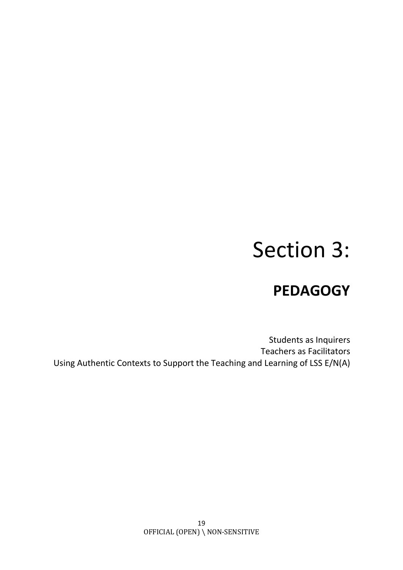# Section 3:

# **PEDAGOGY**

<span id="page-19-0"></span>Students as Inquirers Teachers as Facilitators Using Authentic Contexts to Support the Teaching and Learning of LSS E/N(A)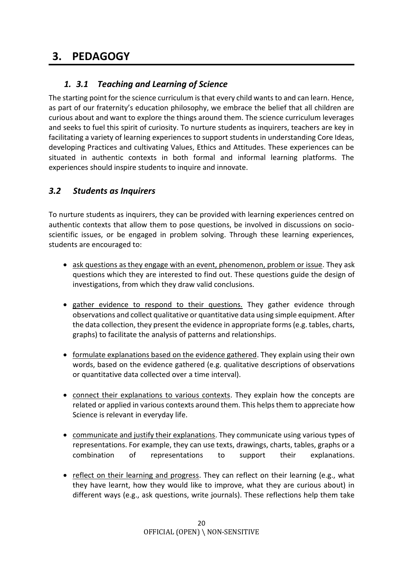# **3. PEDAGOGY**

# <span id="page-20-0"></span>*1. 3.1 Teaching and Learning of Science*

The starting point for the science curriculum is that every child wants to and can learn. Hence, as part of our fraternity's education philosophy, we embrace the belief that all children are curious about and want to explore the things around them. The science curriculum leverages and seeks to fuel this spirit of curiosity. To nurture students as inquirers, teachers are key in facilitating a variety of learning experiences to support students in understanding Core Ideas, developing Practices and cultivating Values, Ethics and Attitudes. These experiences can be situated in authentic contexts in both formal and informal learning platforms. The experiences should inspire students to inquire and innovate.

# <span id="page-20-1"></span>*3.2 Students as Inquirers*

To nurture students as inquirers, they can be provided with learning experiences centred on authentic contexts that allow them to pose questions, be involved in discussions on socioscientific issues, or be engaged in problem solving. Through these learning experiences, students are encouraged to:

- ask questions as they engage with an event, phenomenon, problem or issue. They ask questions which they are interested to find out. These questions guide the design of investigations, from which they draw valid conclusions.
- gather evidence to respond to their questions. They gather evidence through observations and collect qualitative or quantitative data using simple equipment. After the data collection, they present the evidence in appropriate forms (e.g. tables, charts, graphs) to facilitate the analysis of patterns and relationships.
- formulate explanations based on the evidence gathered. They explain using their own words, based on the evidence gathered (e.g. qualitative descriptions of observations or quantitative data collected over a time interval).
- connect their explanations to various contexts. They explain how the concepts are related or applied in various contexts around them. This helps them to appreciate how Science is relevant in everyday life.
- communicate and justify their explanations. They communicate using various types of representations. For example, they can use texts, drawings, charts, tables, graphs or a combination of representations to support their explanations.
- reflect on their learning and progress. They can reflect on their learning (e.g., what they have learnt, how they would like to improve, what they are curious about) in different ways (e.g., ask questions, write journals). These reflections help them take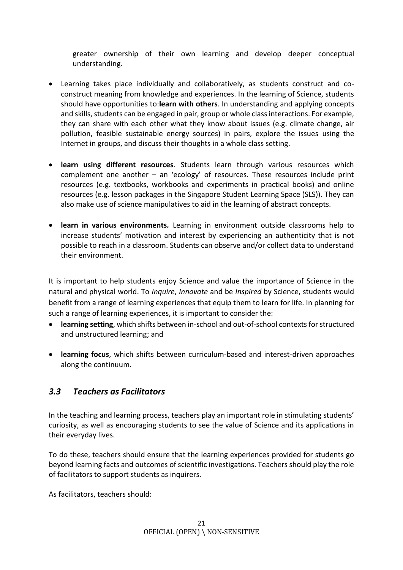greater ownership of their own learning and develop deeper conceptual understanding.

- Learning takes place individually and collaboratively, as students construct and coconstruct meaning from knowledge and experiences. In the learning of Science, students should have opportunities to:**learn with others**. In understanding and applying concepts and skills, students can be engaged in pair, group or whole class interactions. For example, they can share with each other what they know about issues (e.g. climate change, air pollution, feasible sustainable energy sources) in pairs, explore the issues using the Internet in groups, and discuss their thoughts in a whole class setting.
- **learn using different resources**. Students learn through various resources which complement one another – an 'ecology' of resources. These resources include print resources (e.g. textbooks, workbooks and experiments in practical books) and online resources (e.g. lesson packages in the Singapore Student Learning Space (SLS)). They can also make use of science manipulatives to aid in the learning of abstract concepts.
- **learn in various environments***.* Learning in environment outside classrooms help to increase students' motivation and interest by experiencing an authenticity that is not possible to reach in a classroom. Students can observe and/or collect data to understand their environment.

It is important to help students enjoy Science and value the importance of Science in the natural and physical world. To *Inquire*, *Innovate* and be *Inspired* by Science, students would benefit from a range of learning experiences that equip them to learn for life. In planning for such a range of learning experiences, it is important to consider the:

- learning setting, which shifts between in-school and out-of-school contexts for structured and unstructured learning; and
- **learning focus**, which shifts between curriculum-based and interest-driven approaches along the continuum.

# <span id="page-21-0"></span>*3.3 Teachers as Facilitators*

In the teaching and learning process, teachers play an important role in stimulating students' curiosity, as well as encouraging students to see the value of Science and its applications in their everyday lives.

To do these, teachers should ensure that the learning experiences provided for students go beyond learning facts and outcomes of scientific investigations. Teachers should play the role of facilitators to support students as inquirers.

As facilitators, teachers should: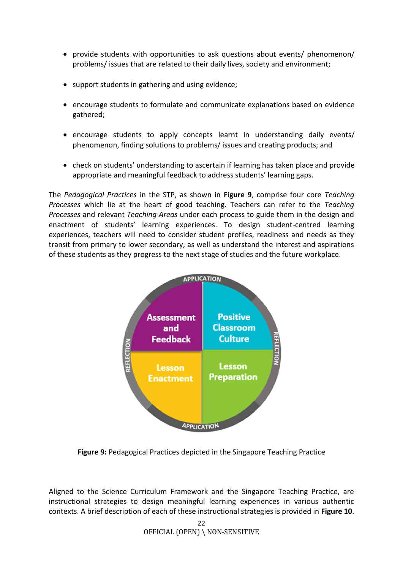- provide students with opportunities to ask questions about events/ phenomenon/ problems/ issues that are related to their daily lives, society and environment;
- support students in gathering and using evidence;
- encourage students to formulate and communicate explanations based on evidence gathered;
- encourage students to apply concepts learnt in understanding daily events/ phenomenon, finding solutions to problems/ issues and creating products; and
- check on students' understanding to ascertain if learning has taken place and provide appropriate and meaningful feedback to address students' learning gaps.

The *Pedagogical Practices* in the STP, as shown in **Figure 9**, comprise four core *Teaching Processes* which lie at the heart of good teaching. Teachers can refer to the *Teaching Processes* and relevant *Teaching Areas* under each process to guide them in the design and enactment of students' learning experiences. To design student-centred learning experiences, teachers will need to consider student profiles, readiness and needs as they transit from primary to lower secondary, as well as understand the interest and aspirations of these students as they progress to the next stage of studies and the future workplace.



**Figure 9:** Pedagogical Practices depicted in the Singapore Teaching Practice

Aligned to the Science Curriculum Framework and the Singapore Teaching Practice, are instructional strategies to design meaningful learning experiences in various authentic contexts. A brief description of each of these instructional strategies is provided in **Figure 10**.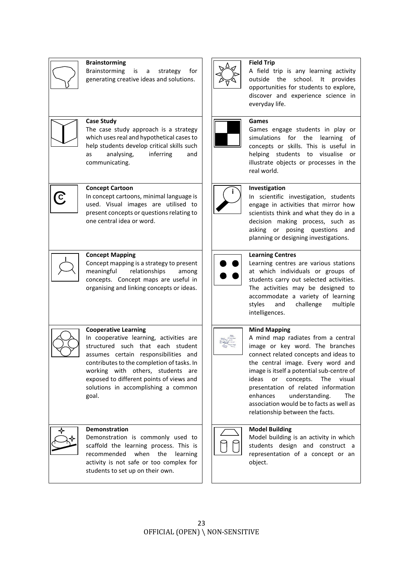### **Brainstorming**

Brainstorming is a strategy for generating creative ideas and solutions.



## **Case Study**

The case study approach is a strategy which uses real and hypothetical cases to help students develop critical skills such as analysing, inferring and communicating.

# C**C**

In concept cartoons, minimal language is used. Visual images are utilised to present concepts or questions relating to one central idea or word.



# **Concept Mapping**

**Concept Cartoon**

Concept mapping is a strategy to present meaningful relationships among concepts. Concept maps are useful in organising and linking concepts or ideas.



### **Cooperative Learning**

In cooperative learning, activities are structured such that each student assumes certain responsibilities and contributes to the completion of tasks. In working with others, students are exposed to different points of views and solutions in accomplishing a common goal.

## **Demonstration**

Demonstration is commonly used to scaffold the learning process. This is recommended when the learning activity is not safe or too complex for students to set up on their own.



## **Field Trip**

A field trip is any learning activity outside the school. It provides opportunities for students to explore, discover and experience science in everyday life.

## **Games**

Games engage students in play or simulations for the learning of concepts or skills. This is useful in helping students to visualise or illustrate objects or processes in the real world.



# **Investigation**

In scientific investigation, students engage in activities that mirror how scientists think and what they do in a decision making process, such as asking or posing questions and planning or designing investigations.



# **Learning Centres**

Learning centres are various stations at which individuals or groups of students carry out selected activities. The activities may be designed to accommodate a variety of learning styles and challenge multiple intelligences.

# **Mind Mapping**

A mind map radiates from a central image or key word. The branches connect related concepts and ideas to the central image. Every word and image is itself a potential sub-centre of ideas or concepts. The visual presentation of related information enhances understanding. The association would be to facts as well as relationship between the facts.

# **Model Building**

Model building is an activity in which students design and construct a representation of a concept or an object.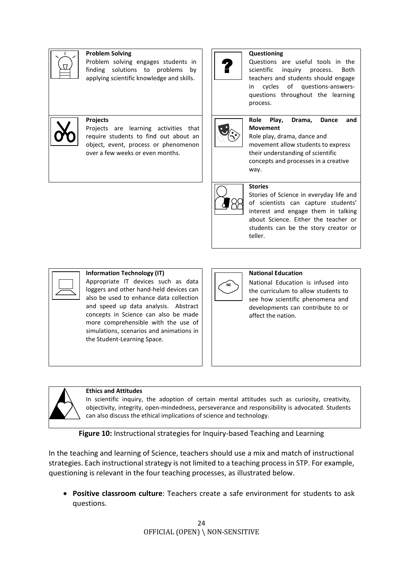

### **Problem Solving**

Problem solving engages students in finding solutions to problems by applying scientific knowledge and skills.



## **Projects**

Projects are learning activities that require students to find out about an object, event, process or phenomenon over a few weeks or even months.



## **Questioning** Questions are useful tools in the scientific inquiry process. Both teachers and students should engage in cycles of questions-answersquestions throughout the learning process.



### **Role Play, Drama, Dance and Movement**

Role play, drama, dance and movement allow students to express their understanding of scientific concepts and processes in a creative way.

## **Stories**

Stories of Science in everyday life and of scientists can capture students' interest and engage them in talking about Science. Either the teacher or students can be the story creator or teller.



## **Information Technology (IT)**

Appropriate IT devices such as data loggers and other hand-held devices can also be used to enhance data collection and speed up data analysis. Abstract concepts in Science can also be made more comprehensible with the use of simulations, scenarios and animations in the Student-Learning Space.



# **National Education**

National Education is infused into the curriculum to allow students to see how scientific phenomena and developments can contribute to or affect the nation.



## **Ethics and Attitudes**

In scientific inquiry, the adoption of certain mental attitudes such as curiosity, creativity, objectivity, integrity, open-mindedness, perseverance and responsibility is advocated. Students can also discuss the ethical implications of science and technology.

**Figure 10:** Instructional strategies for Inquiry-based Teaching and Learning

In the teaching and learning of Science, teachers should use a mix and match of instructional strategies. Each instructional strategy is not limited to a teaching process in STP. For example, questioning is relevant in the four teaching processes, as illustrated below.

• **Positive classroom culture**: Teachers create a safe environment for students to ask questions.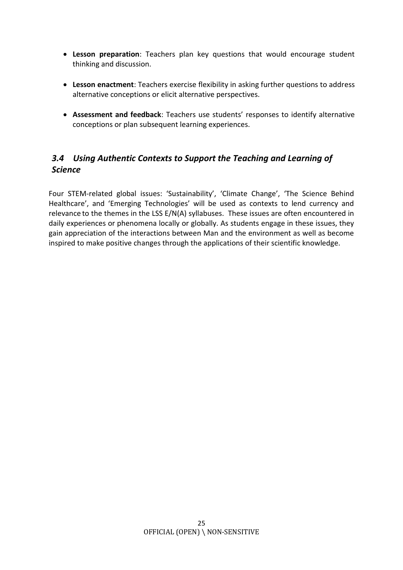- **Lesson preparation**: Teachers plan key questions that would encourage student thinking and discussion.
- **Lesson enactment**: Teachers exercise flexibility in asking further questions to address alternative conceptions or elicit alternative perspectives.
- **Assessment and feedback**: Teachers use students' responses to identify alternative conceptions or plan subsequent learning experiences.

# <span id="page-25-0"></span>*3.4 Using Authentic Contexts to Support the Teaching and Learning of Science*

Four STEM-related global issues: 'Sustainability', 'Climate Change', 'The Science Behind Healthcare', and 'Emerging Technologies' will be used as contexts to lend currency and relevance to the themes in the LSS E/N(A) syllabuses. These issues are often encountered in daily experiences or phenomena locally or globally. As students engage in these issues, they gain appreciation of the interactions between Man and the environment as well as become inspired to make positive changes through the applications of their scientific knowledge.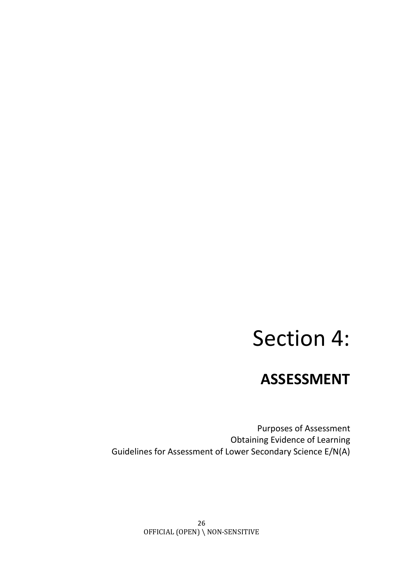# Section 4:

# **ASSESSMENT**

<span id="page-26-0"></span>Purposes of Assessment Obtaining Evidence of Learning Guidelines for Assessment of Lower Secondary Science E/N(A)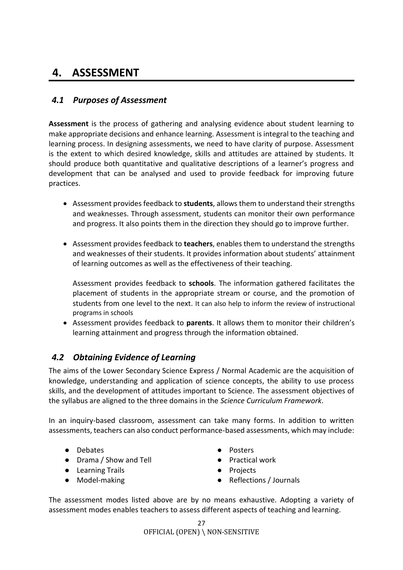# **4. ASSESSMENT**

# <span id="page-27-0"></span>*4.1 Purposes of Assessment*

**Assessment** is the process of gathering and analysing evidence about student learning to make appropriate decisions and enhance learning. Assessment is integral to the teaching and learning process. In designing assessments, we need to have clarity of purpose. Assessment is the extent to which desired knowledge, skills and attitudes are attained by students. It should produce both quantitative and qualitative descriptions of a learner's progress and development that can be analysed and used to provide feedback for improving future practices.

- Assessment provides feedback to **students**, allows them to understand their strengths and weaknesses. Through assessment, students can monitor their own performance and progress. It also points them in the direction they should go to improve further.
- Assessment provides feedback to **teachers**, enables them to understand the strengths and weaknesses of their students. It provides information about students' attainment of learning outcomes as well as the effectiveness of their teaching.

Assessment provides feedback to **schools**. The information gathered facilitates the placement of students in the appropriate stream or course, and the promotion of students from one level to the next. It can also help to inform the review of instructional programs in schools

• Assessment provides feedback to **parents**. It allows them to monitor their children's learning attainment and progress through the information obtained.

# <span id="page-27-1"></span>*4.2 Obtaining Evidence of Learning*

The aims of the Lower Secondary Science Express / Normal Academic are the acquisition of knowledge, understanding and application of science concepts, the ability to use process skills, and the development of attitudes important to Science. The assessment objectives of the syllabus are aligned to the three domains in the *Science Curriculum Framework*.

In an inquiry-based classroom, assessment can take many forms. In addition to written assessments, teachers can also conduct performance-based assessments, which may include:

- Debates Posters
- Drama / Show and Tell Practical work
- Learning Trails Projects
- 
- 
- 
- 
- Model-making and a settle of Reflections / Journals

The assessment modes listed above are by no means exhaustive. Adopting a variety of assessment modes enables teachers to assess different aspects of teaching and learning.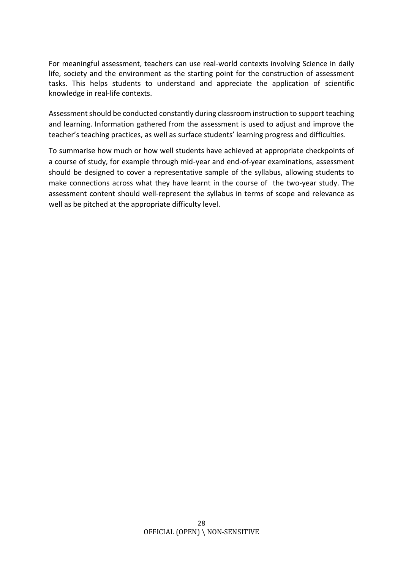For meaningful assessment, teachers can use real-world contexts involving Science in daily life, society and the environment as the starting point for the construction of assessment tasks. This helps students to understand and appreciate the application of scientific knowledge in real-life contexts.

Assessment should be conducted constantly during classroom instruction to support teaching and learning. Information gathered from the assessment is used to adjust and improve the teacher's teaching practices, as well as surface students' learning progress and difficulties.

To summarise how much or how well students have achieved at appropriate checkpoints of a course of study, for example through mid-year and end-of-year examinations, assessment should be designed to cover a representative sample of the syllabus, allowing students to make connections across what they have learnt in the course of the two-year study. The assessment content should well-represent the syllabus in terms of scope and relevance as well as be pitched at the appropriate difficulty level.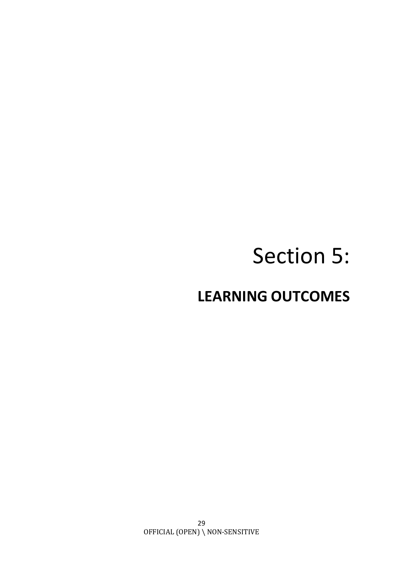# Section 5:

# <span id="page-29-0"></span>**LEARNING OUTCOMES**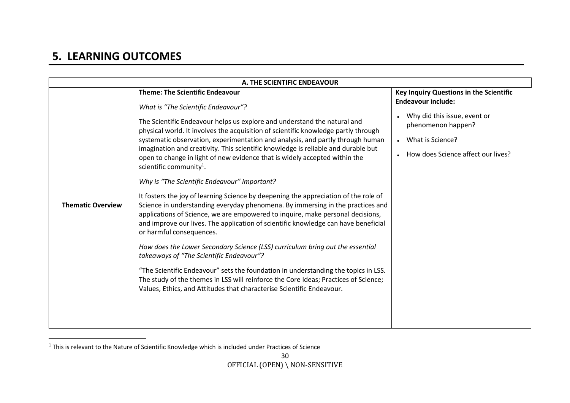# **5. LEARNING OUTCOMES**

| A. THE SCIENTIFIC ENDEAVOUR |                                                                                                                                                                                                                                                                                                                                                                                                                                                                                                                                                                                                                                                                                                                                                                                                                                                                                                                                                                                                                                                                                                                                                                                                                                                                                                                   |                                                                                                                                           |  |  |  |  |
|-----------------------------|-------------------------------------------------------------------------------------------------------------------------------------------------------------------------------------------------------------------------------------------------------------------------------------------------------------------------------------------------------------------------------------------------------------------------------------------------------------------------------------------------------------------------------------------------------------------------------------------------------------------------------------------------------------------------------------------------------------------------------------------------------------------------------------------------------------------------------------------------------------------------------------------------------------------------------------------------------------------------------------------------------------------------------------------------------------------------------------------------------------------------------------------------------------------------------------------------------------------------------------------------------------------------------------------------------------------|-------------------------------------------------------------------------------------------------------------------------------------------|--|--|--|--|
|                             | <b>Theme: The Scientific Endeavour</b>                                                                                                                                                                                                                                                                                                                                                                                                                                                                                                                                                                                                                                                                                                                                                                                                                                                                                                                                                                                                                                                                                                                                                                                                                                                                            | Key Inquiry Questions in the Scientific                                                                                                   |  |  |  |  |
| <b>Thematic Overview</b>    | What is "The Scientific Endeavour"?<br>The Scientific Endeavour helps us explore and understand the natural and<br>physical world. It involves the acquisition of scientific knowledge partly through<br>systematic observation, experimentation and analysis, and partly through human<br>imagination and creativity. This scientific knowledge is reliable and durable but<br>open to change in light of new evidence that is widely accepted within the<br>scientific community <sup>1</sup> .<br>Why is "The Scientific Endeavour" important?<br>It fosters the joy of learning Science by deepening the appreciation of the role of<br>Science in understanding everyday phenomena. By immersing in the practices and<br>applications of Science, we are empowered to inquire, make personal decisions,<br>and improve our lives. The application of scientific knowledge can have beneficial<br>or harmful consequences.<br>How does the Lower Secondary Science (LSS) curriculum bring out the essential<br>takeaways of "The Scientific Endeavour"?<br>"The Scientific Endeavour" sets the foundation in understanding the topics in LSS.<br>The study of the themes in LSS will reinforce the Core Ideas; Practices of Science;<br>Values, Ethics, and Attitudes that characterise Scientific Endeavour. | <b>Endeavour include:</b><br>Why did this issue, event or<br>phenomenon happen?<br>What is Science?<br>How does Science affect our lives? |  |  |  |  |
|                             |                                                                                                                                                                                                                                                                                                                                                                                                                                                                                                                                                                                                                                                                                                                                                                                                                                                                                                                                                                                                                                                                                                                                                                                                                                                                                                                   |                                                                                                                                           |  |  |  |  |

 $1$  This is relevant to the Nature of Scientific Knowledge which is included under Practices of Science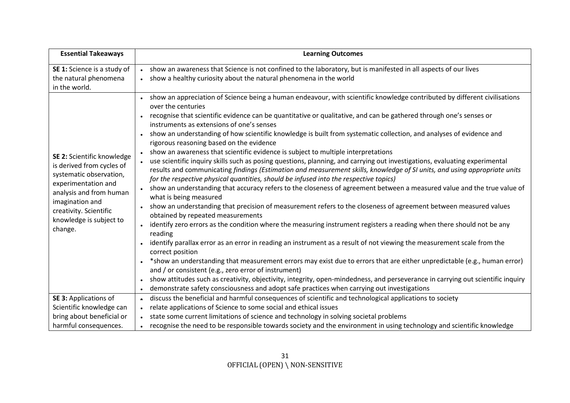| <b>Essential Takeaways</b>                                                                                                                                                                                              | <b>Learning Outcomes</b>                                                                                                                                                                                                                                                                                                                                                                                                                                                                                                                                                                                                                                                                                                                                                                                                                                                                                                                                                                                                                                                                                                                                                                                                                                                                                                                                                                                                                                                                                                                                                                                                                                                                                                                                                                                                                                                                                                                                                        |  |  |  |  |
|-------------------------------------------------------------------------------------------------------------------------------------------------------------------------------------------------------------------------|---------------------------------------------------------------------------------------------------------------------------------------------------------------------------------------------------------------------------------------------------------------------------------------------------------------------------------------------------------------------------------------------------------------------------------------------------------------------------------------------------------------------------------------------------------------------------------------------------------------------------------------------------------------------------------------------------------------------------------------------------------------------------------------------------------------------------------------------------------------------------------------------------------------------------------------------------------------------------------------------------------------------------------------------------------------------------------------------------------------------------------------------------------------------------------------------------------------------------------------------------------------------------------------------------------------------------------------------------------------------------------------------------------------------------------------------------------------------------------------------------------------------------------------------------------------------------------------------------------------------------------------------------------------------------------------------------------------------------------------------------------------------------------------------------------------------------------------------------------------------------------------------------------------------------------------------------------------------------------|--|--|--|--|
| SE 1: Science is a study of<br>the natural phenomena<br>in the world.                                                                                                                                                   | show an awareness that Science is not confined to the laboratory, but is manifested in all aspects of our lives<br>$\bullet$<br>show a healthy curiosity about the natural phenomena in the world<br>$\bullet$                                                                                                                                                                                                                                                                                                                                                                                                                                                                                                                                                                                                                                                                                                                                                                                                                                                                                                                                                                                                                                                                                                                                                                                                                                                                                                                                                                                                                                                                                                                                                                                                                                                                                                                                                                  |  |  |  |  |
| SE 2: Scientific knowledge<br>is derived from cycles of<br>systematic observation,<br>experimentation and<br>analysis and from human<br>imagination and<br>creativity. Scientific<br>knowledge is subject to<br>change. | show an appreciation of Science being a human endeavour, with scientific knowledge contributed by different civilisations<br>over the centuries<br>recognise that scientific evidence can be quantitative or qualitative, and can be gathered through one's senses or<br>instruments as extensions of one's senses<br>show an understanding of how scientific knowledge is built from systematic collection, and analyses of evidence and<br>rigorous reasoning based on the evidence<br>show an awareness that scientific evidence is subject to multiple interpretations<br>• use scientific inquiry skills such as posing questions, planning, and carrying out investigations, evaluating experimental<br>results and communicating findings (Estimation and measurement skills, knowledge of SI units, and using appropriate units<br>for the respective physical quantities, should be infused into the respective topics)<br>show an understanding that accuracy refers to the closeness of agreement between a measured value and the true value of<br>$\bullet$<br>what is being measured<br>show an understanding that precision of measurement refers to the closeness of agreement between measured values<br>obtained by repeated measurements<br>identify zero errors as the condition where the measuring instrument registers a reading when there should not be any<br>reading<br>identify parallax error as an error in reading an instrument as a result of not viewing the measurement scale from the<br>correct position<br>*show an understanding that measurement errors may exist due to errors that are either unpredictable (e.g., human error)<br>and / or consistent (e.g., zero error of instrument)<br>show attitudes such as creativity, objectivity, integrity, open-mindedness, and perseverance in carrying out scientific inquiry<br>$\bullet$<br>demonstrate safety consciousness and adopt safe practices when carrying out investigations |  |  |  |  |
| SE 3: Applications of<br>Scientific knowledge can<br>bring about beneficial or<br>harmful consequences.                                                                                                                 | discuss the beneficial and harmful consequences of scientific and technological applications to society<br>$\bullet$<br>relate applications of Science to some social and ethical issues<br>$\bullet$<br>state some current limitations of science and technology in solving societal problems<br>recognise the need to be responsible towards society and the environment in using technology and scientific knowledge<br>$\bullet$                                                                                                                                                                                                                                                                                                                                                                                                                                                                                                                                                                                                                                                                                                                                                                                                                                                                                                                                                                                                                                                                                                                                                                                                                                                                                                                                                                                                                                                                                                                                            |  |  |  |  |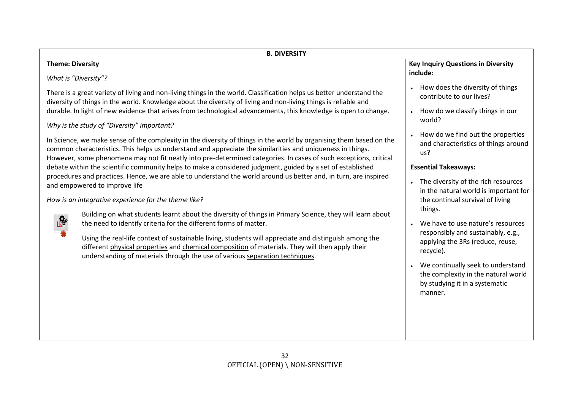| <b>B. DIVERSITY</b>                                                                                                                                                                                                                                                                                                                                         |                                                                                                                             |  |  |  |  |
|-------------------------------------------------------------------------------------------------------------------------------------------------------------------------------------------------------------------------------------------------------------------------------------------------------------------------------------------------------------|-----------------------------------------------------------------------------------------------------------------------------|--|--|--|--|
| <b>Theme: Diversity</b>                                                                                                                                                                                                                                                                                                                                     | <b>Key Inquiry Questions in Diversity</b>                                                                                   |  |  |  |  |
| What is "Diversity"?                                                                                                                                                                                                                                                                                                                                        | include:                                                                                                                    |  |  |  |  |
| There is a great variety of living and non-living things in the world. Classification helps us better understand the<br>diversity of things in the world. Knowledge about the diversity of living and non-living things is reliable and<br>durable. In light of new evidence that arises from technological advancements, this knowledge is open to change. | How does the diversity of things<br>contribute to our lives?<br>How do we classify things in our<br>$\bullet$               |  |  |  |  |
| Why is the study of "Diversity" important?                                                                                                                                                                                                                                                                                                                  | world?                                                                                                                      |  |  |  |  |
| In Science, we make sense of the complexity in the diversity of things in the world by organising them based on the<br>common characteristics. This helps us understand and appreciate the similarities and uniqueness in things.<br>However, some phenomena may not fit neatly into pre-determined categories. In cases of such exceptions, critical       | How do we find out the properties<br>and characteristics of things around<br>us?                                            |  |  |  |  |
| debate within the scientific community helps to make a considered judgment, guided by a set of established                                                                                                                                                                                                                                                  | <b>Essential Takeaways:</b>                                                                                                 |  |  |  |  |
| procedures and practices. Hence, we are able to understand the world around us better and, in turn, are inspired<br>and empowered to improve life                                                                                                                                                                                                           | The diversity of the rich resources<br>in the natural world is important for<br>the continual survival of living<br>things. |  |  |  |  |
| How is an integrative experience for the theme like?                                                                                                                                                                                                                                                                                                        |                                                                                                                             |  |  |  |  |
| Building on what students learnt about the diversity of things in Primary Science, they will learn about<br>the need to identify criteria for the different forms of matter.                                                                                                                                                                                | We have to use nature's resources                                                                                           |  |  |  |  |
| Using the real-life context of sustainable living, students will appreciate and distinguish among the<br>different physical properties and chemical composition of materials. They will then apply their<br>understanding of materials through the use of various separation techniques.                                                                    | responsibly and sustainably, e.g.,<br>applying the 3Rs (reduce, reuse,<br>recycle).                                         |  |  |  |  |
|                                                                                                                                                                                                                                                                                                                                                             | We continually seek to understand<br>the complexity in the natural world<br>by studying it in a systematic<br>manner.       |  |  |  |  |
|                                                                                                                                                                                                                                                                                                                                                             |                                                                                                                             |  |  |  |  |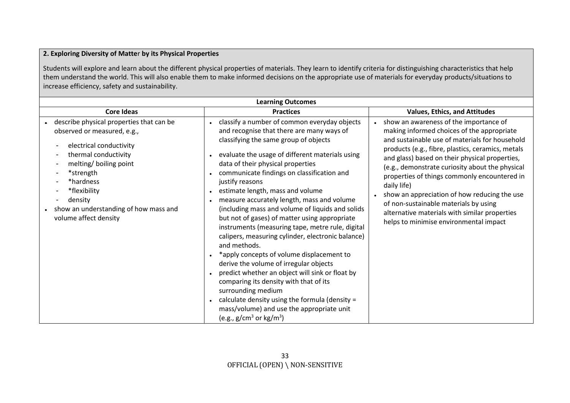# **2. Exploring Diversity of Matte**r **by its Physical Properties**

Students will explore and learn about the different physical properties of materials. They learn to identify criteria for distinguishing characteristics that help them understand the world. This will also enable them to make informed decisions on the appropriate use of materials for everyday products/situations to increase efficiency, safety and sustainability.

| <b>Learning Outcomes</b>                                                                                                                                                                                                                                                    |                                                                                                                                                                                                                                                                                                                                                                                                                                                                                                                                                                                                                                                                                                                                                                                                                                                                                                                                                                                                                                                |                                                                                                                                                                                                                                                                                                                                                                                                                                                                                                                                                                  |  |  |
|-----------------------------------------------------------------------------------------------------------------------------------------------------------------------------------------------------------------------------------------------------------------------------|------------------------------------------------------------------------------------------------------------------------------------------------------------------------------------------------------------------------------------------------------------------------------------------------------------------------------------------------------------------------------------------------------------------------------------------------------------------------------------------------------------------------------------------------------------------------------------------------------------------------------------------------------------------------------------------------------------------------------------------------------------------------------------------------------------------------------------------------------------------------------------------------------------------------------------------------------------------------------------------------------------------------------------------------|------------------------------------------------------------------------------------------------------------------------------------------------------------------------------------------------------------------------------------------------------------------------------------------------------------------------------------------------------------------------------------------------------------------------------------------------------------------------------------------------------------------------------------------------------------------|--|--|
| <b>Core Ideas</b>                                                                                                                                                                                                                                                           | <b>Practices</b>                                                                                                                                                                                                                                                                                                                                                                                                                                                                                                                                                                                                                                                                                                                                                                                                                                                                                                                                                                                                                               | <b>Values, Ethics, and Attitudes</b>                                                                                                                                                                                                                                                                                                                                                                                                                                                                                                                             |  |  |
| describe physical properties that can be<br>observed or measured, e.g.,<br>electrical conductivity<br>thermal conductivity<br>melting/ boiling point<br>*strength<br>*hardness<br>*flexibility<br>density<br>show an understanding of how mass and<br>volume affect density | classify a number of common everyday objects<br>$\bullet$<br>and recognise that there are many ways of<br>classifying the same group of objects<br>• evaluate the usage of different materials using<br>data of their physical properties<br>communicate findings on classification and<br>$\bullet$<br>justify reasons<br>estimate length, mass and volume<br>$\bullet$<br>measure accurately length, mass and volume<br>$\bullet$<br>(including mass and volume of liquids and solids<br>but not of gases) of matter using appropriate<br>instruments (measuring tape, metre rule, digital<br>calipers, measuring cylinder, electronic balance)<br>and methods.<br>*apply concepts of volume displacement to<br>$\bullet$<br>derive the volume of irregular objects<br>predict whether an object will sink or float by<br>comparing its density with that of its<br>surrounding medium<br>calculate density using the formula (density =<br>$\bullet$<br>mass/volume) and use the appropriate unit<br>(e.g., $g/cm^3$ or kg/m <sup>3</sup> ) | show an awareness of the importance of<br>$\bullet$<br>making informed choices of the appropriate<br>and sustainable use of materials for household<br>products (e.g., fibre, plastics, ceramics, metals<br>and glass) based on their physical properties,<br>(e.g., demonstrate curiosity about the physical<br>properties of things commonly encountered in<br>daily life)<br>show an appreciation of how reducing the use<br>of non-sustainable materials by using<br>alternative materials with similar properties<br>helps to minimise environmental impact |  |  |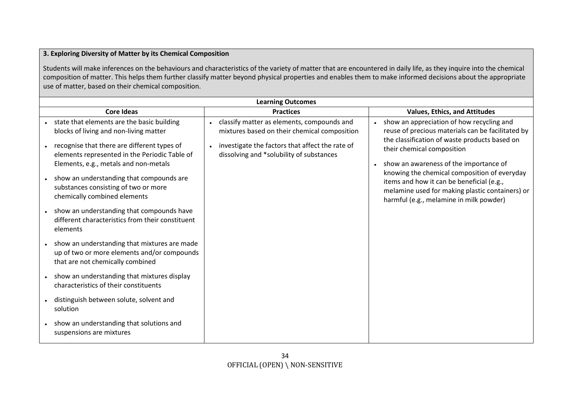# **3. Exploring Diversity of Matter by its Chemical Composition**

Students will make inferences on the behaviours and characteristics of the variety of matter that are encountered in daily life, as they inquire into the chemical composition of matter. This helps them further classify matter beyond physical properties and enables them to make informed decisions about the appropriate use of matter, based on their chemical composition.

| <b>Learning Outcomes</b>                                                                                                          |  |                                                                                               |  |                                                                                                                                         |
|-----------------------------------------------------------------------------------------------------------------------------------|--|-----------------------------------------------------------------------------------------------|--|-----------------------------------------------------------------------------------------------------------------------------------------|
| Core Ideas                                                                                                                        |  | <b>Practices</b>                                                                              |  | <b>Values, Ethics, and Attitudes</b>                                                                                                    |
| • state that elements are the basic building<br>blocks of living and non-living matter                                            |  | • classify matter as elements, compounds and<br>mixtures based on their chemical composition  |  | • show an appreciation of how recycling and<br>reuse of precious materials can be facilitated by                                        |
| recognise that there are different types of<br>elements represented in the Periodic Table of                                      |  | • investigate the factors that affect the rate of<br>dissolving and *solubility of substances |  | the classification of waste products based on<br>their chemical composition                                                             |
| Elements, e.g., metals and non-metals                                                                                             |  |                                                                                               |  | • show an awareness of the importance of<br>knowing the chemical composition of everyday                                                |
| • show an understanding that compounds are<br>substances consisting of two or more<br>chemically combined elements                |  |                                                                                               |  | items and how it can be beneficial (e.g.,<br>melamine used for making plastic containers) or<br>harmful (e.g., melamine in milk powder) |
| • show an understanding that compounds have<br>different characteristics from their constituent<br>elements                       |  |                                                                                               |  |                                                                                                                                         |
| • show an understanding that mixtures are made<br>up of two or more elements and/or compounds<br>that are not chemically combined |  |                                                                                               |  |                                                                                                                                         |
| • show an understanding that mixtures display<br>characteristics of their constituents                                            |  |                                                                                               |  |                                                                                                                                         |
| · distinguish between solute, solvent and<br>solution                                                                             |  |                                                                                               |  |                                                                                                                                         |
| • show an understanding that solutions and<br>suspensions are mixtures                                                            |  |                                                                                               |  |                                                                                                                                         |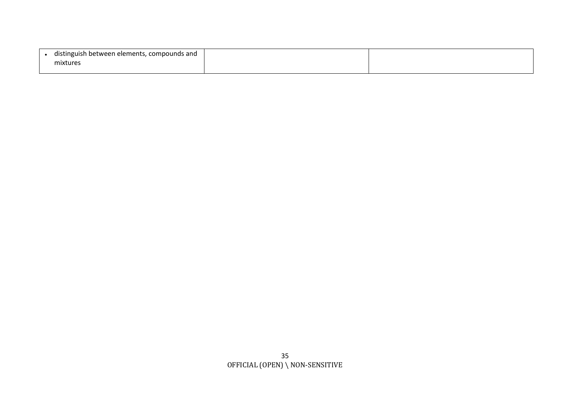| distinguish between elements, compounds and |  |
|---------------------------------------------|--|
| mixtures                                    |  |
|                                             |  |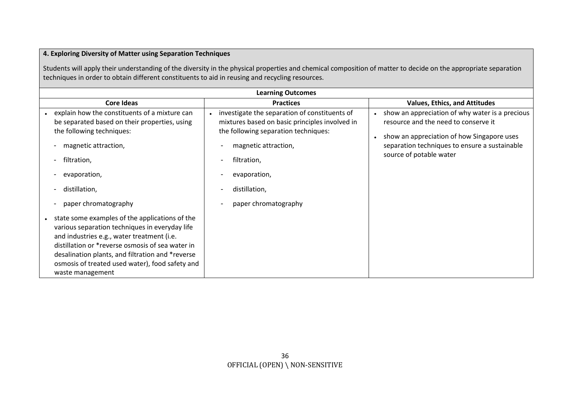# **4. Exploring Diversity of Matter using Separation Techniques**

Students will apply their understanding of the diversity in the physical properties and chemical composition of matter to decide on the appropriate separation techniques in order to obtain different constituents to aid in reusing and recycling resources.

| <b>Learning Outcomes</b>                                                                                                                                                                                                                                                                                                      |                                                                                                                                                                                                                                                                                                                             |                                                                                                                                                                                                                   |  |  |  |
|-------------------------------------------------------------------------------------------------------------------------------------------------------------------------------------------------------------------------------------------------------------------------------------------------------------------------------|-----------------------------------------------------------------------------------------------------------------------------------------------------------------------------------------------------------------------------------------------------------------------------------------------------------------------------|-------------------------------------------------------------------------------------------------------------------------------------------------------------------------------------------------------------------|--|--|--|
| <b>Core Ideas</b>                                                                                                                                                                                                                                                                                                             | <b>Practices</b>                                                                                                                                                                                                                                                                                                            | <b>Values, Ethics, and Attitudes</b>                                                                                                                                                                              |  |  |  |
| explain how the constituents of a mixture can<br>be separated based on their properties, using<br>the following techniques:<br>magnetic attraction,<br>filtration,<br>evaporation,<br>distillation,<br>paper chromatography                                                                                                   | investigate the separation of constituents of<br>mixtures based on basic principles involved in<br>the following separation techniques:<br>magnetic attraction,<br>filtration,<br>$\overline{\phantom{a}}$<br>evaporation,<br>$\overline{\phantom{a}}$<br>distillation,<br>$\overline{\phantom{a}}$<br>paper chromatography | show an appreciation of why water is a precious<br>resource and the need to conserve it<br>show an appreciation of how Singapore uses<br>separation techniques to ensure a sustainable<br>source of potable water |  |  |  |
| state some examples of the applications of the<br>various separation techniques in everyday life<br>and industries e.g., water treatment (i.e.<br>distillation or *reverse osmosis of sea water in<br>desalination plants, and filtration and *reverse<br>osmosis of treated used water), food safety and<br>waste management |                                                                                                                                                                                                                                                                                                                             |                                                                                                                                                                                                                   |  |  |  |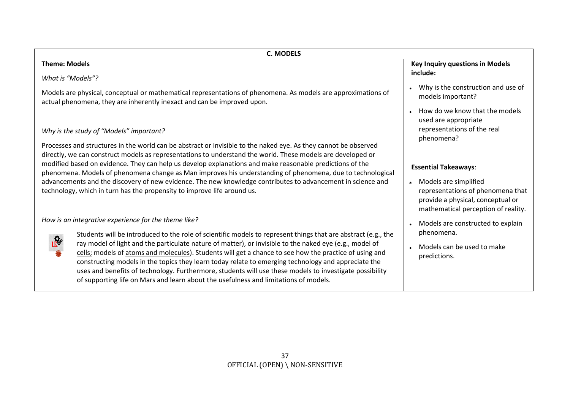| <b>C. MODELS</b>                                                                                                                                                                                                                                                                                                                                                                                                                                                                                                            |                                                                                                                                                     |  |  |  |  |  |
|-----------------------------------------------------------------------------------------------------------------------------------------------------------------------------------------------------------------------------------------------------------------------------------------------------------------------------------------------------------------------------------------------------------------------------------------------------------------------------------------------------------------------------|-----------------------------------------------------------------------------------------------------------------------------------------------------|--|--|--|--|--|
| <b>Theme: Models</b>                                                                                                                                                                                                                                                                                                                                                                                                                                                                                                        | <b>Key Inquiry questions in Models</b>                                                                                                              |  |  |  |  |  |
| What is "Models"?                                                                                                                                                                                                                                                                                                                                                                                                                                                                                                           | include:                                                                                                                                            |  |  |  |  |  |
| Models are physical, conceptual or mathematical representations of phenomena. As models are approximations of<br>actual phenomena, they are inherently inexact and can be improved upon.                                                                                                                                                                                                                                                                                                                                    | Why is the construction and use of<br>models important?                                                                                             |  |  |  |  |  |
|                                                                                                                                                                                                                                                                                                                                                                                                                                                                                                                             | How do we know that the models<br>used are appropriate                                                                                              |  |  |  |  |  |
| Why is the study of "Models" important?                                                                                                                                                                                                                                                                                                                                                                                                                                                                                     | representations of the real<br>phenomena?                                                                                                           |  |  |  |  |  |
| Processes and structures in the world can be abstract or invisible to the naked eye. As they cannot be observed<br>directly, we can construct models as representations to understand the world. These models are developed or                                                                                                                                                                                                                                                                                              |                                                                                                                                                     |  |  |  |  |  |
| modified based on evidence. They can help us develop explanations and make reasonable predictions of the<br>phenomena. Models of phenomena change as Man improves his understanding of phenomena, due to technological                                                                                                                                                                                                                                                                                                      | <b>Essential Takeaways:</b>                                                                                                                         |  |  |  |  |  |
| advancements and the discovery of new evidence. The new knowledge contributes to advancement in science and<br>technology, which in turn has the propensity to improve life around us.                                                                                                                                                                                                                                                                                                                                      | Models are simplified<br>$\bullet$<br>representations of phenomena that<br>provide a physical, conceptual or<br>mathematical perception of reality. |  |  |  |  |  |
| How is an integrative experience for the theme like?                                                                                                                                                                                                                                                                                                                                                                                                                                                                        | Models are constructed to explain                                                                                                                   |  |  |  |  |  |
| Students will be introduced to the role of scientific models to represent things that are abstract (e.g., the<br>$\mathbb{E}^{\mathcal{O}_p}$                                                                                                                                                                                                                                                                                                                                                                               | phenomena.                                                                                                                                          |  |  |  |  |  |
| ray model of light and the particulate nature of matter), or invisible to the naked eye (e.g., model of<br>cells; models of atoms and molecules). Students will get a chance to see how the practice of using and<br>constructing models in the topics they learn today relate to emerging technology and appreciate the<br>uses and benefits of technology. Furthermore, students will use these models to investigate possibility<br>of supporting life on Mars and learn about the usefulness and limitations of models. | Models can be used to make<br>predictions.                                                                                                          |  |  |  |  |  |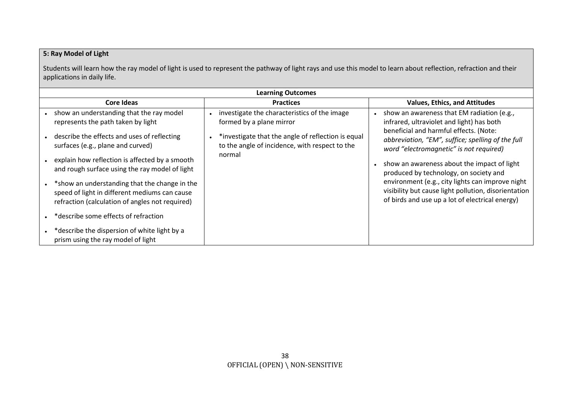# **5: Ray Model of Light**

Students will learn how the ray model of light is used to represent the pathway of light rays and use this model to learn about reflection, refraction and their applications in daily life.

| <b>Learning Outcomes</b>                                                                                                                          |                                                                                                      |                                                                                                                                                             |  |  |  |
|---------------------------------------------------------------------------------------------------------------------------------------------------|------------------------------------------------------------------------------------------------------|-------------------------------------------------------------------------------------------------------------------------------------------------------------|--|--|--|
| <b>Core Ideas</b>                                                                                                                                 | <b>Practices</b>                                                                                     | <b>Values, Ethics, and Attitudes</b>                                                                                                                        |  |  |  |
| show an understanding that the ray model<br>represents the path taken by light                                                                    | investigate the characteristics of the image<br>formed by a plane mirror                             | show an awareness that EM radiation (e.g.,<br>infrared, ultraviolet and light) has both                                                                     |  |  |  |
| describe the effects and uses of reflecting<br>surfaces (e.g., plane and curved)                                                                  | *investigate that the angle of reflection is equal<br>to the angle of incidence, with respect to the | beneficial and harmful effects. (Note:<br>abbreviation, "EM", suffice; spelling of the full<br>word "electromagnetic" is not required)                      |  |  |  |
| explain how reflection is affected by a smooth<br>and rough surface using the ray model of light                                                  | normal                                                                                               | show an awareness about the impact of light<br>produced by technology, on society and                                                                       |  |  |  |
| *show an understanding that the change in the<br>speed of light in different mediums can cause<br>refraction (calculation of angles not required) |                                                                                                      | environment (e.g., city lights can improve night<br>visibility but cause light pollution, disorientation<br>of birds and use up a lot of electrical energy) |  |  |  |
| *describe some effects of refraction                                                                                                              |                                                                                                      |                                                                                                                                                             |  |  |  |
| *describe the dispersion of white light by a<br>prism using the ray model of light                                                                |                                                                                                      |                                                                                                                                                             |  |  |  |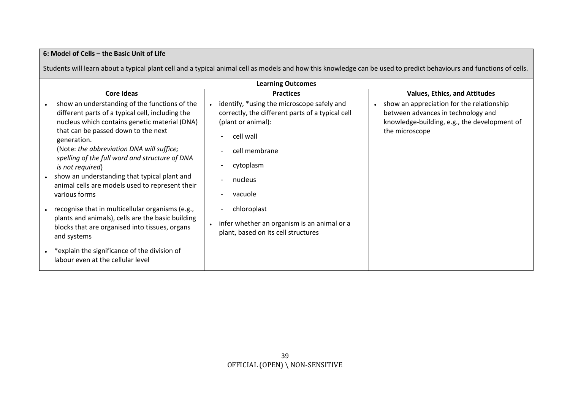Students will learn about a typical plant cell and a typical animal cell as models and how this knowledge can be used to predict behaviours and functions of cells.

| <b>Learning Outcomes</b>                                                                                                                                                                                                                                                                                                                                                                                                                        |                                                                                                                                                                                       |                                                                                                                                                     |  |  |  |  |
|-------------------------------------------------------------------------------------------------------------------------------------------------------------------------------------------------------------------------------------------------------------------------------------------------------------------------------------------------------------------------------------------------------------------------------------------------|---------------------------------------------------------------------------------------------------------------------------------------------------------------------------------------|-----------------------------------------------------------------------------------------------------------------------------------------------------|--|--|--|--|
| <b>Core Ideas</b>                                                                                                                                                                                                                                                                                                                                                                                                                               | <b>Practices</b>                                                                                                                                                                      | <b>Values, Ethics, and Attitudes</b>                                                                                                                |  |  |  |  |
| show an understanding of the functions of the<br>different parts of a typical cell, including the<br>nucleus which contains genetic material (DNA)<br>that can be passed down to the next<br>generation.<br>(Note: the abbreviation DNA will suffice;<br>spelling of the full word and structure of DNA<br>is not required)<br>show an understanding that typical plant and<br>animal cells are models used to represent their<br>various forms | identify, *using the microscope safely and<br>correctly, the different parts of a typical cell<br>(plant or animal):<br>cell wall<br>cell membrane<br>cytoplasm<br>nucleus<br>vacuole | • show an appreciation for the relationship<br>between advances in technology and<br>knowledge-building, e.g., the development of<br>the microscope |  |  |  |  |
| recognise that in multicellular organisms (e.g.,<br>plants and animals), cells are the basic building<br>blocks that are organised into tissues, organs<br>and systems<br>*explain the significance of the division of<br>labour even at the cellular level                                                                                                                                                                                     | chloroplast<br>infer whether an organism is an animal or a<br>plant, based on its cell structures                                                                                     |                                                                                                                                                     |  |  |  |  |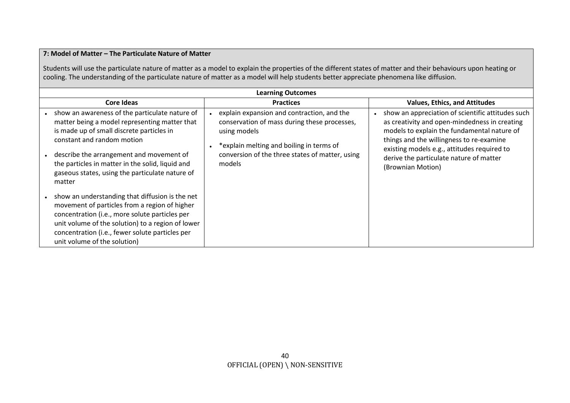# **7: Model of Matter – The Particulate Nature of Matter**

Students will use the particulate nature of matter as a model to explain the properties of the different states of matter and their behaviours upon heating or cooling. The understanding of the particulate nature of matter as a model will help students better appreciate phenomena like diffusion.

| <b>Learning Outcomes</b>                                                                                                                                                                                                                                                                     |                                                                                                                                                        |                                                                                                                                                                                                                                              |  |  |  |
|----------------------------------------------------------------------------------------------------------------------------------------------------------------------------------------------------------------------------------------------------------------------------------------------|--------------------------------------------------------------------------------------------------------------------------------------------------------|----------------------------------------------------------------------------------------------------------------------------------------------------------------------------------------------------------------------------------------------|--|--|--|
| <b>Core Ideas</b>                                                                                                                                                                                                                                                                            | <b>Practices</b>                                                                                                                                       | <b>Values, Ethics, and Attitudes</b>                                                                                                                                                                                                         |  |  |  |
| • show an awareness of the particulate nature of<br>matter being a model representing matter that<br>is made up of small discrete particles in<br>constant and random motion                                                                                                                 | explain expansion and contraction, and the<br>conservation of mass during these processes,<br>using models<br>*explain melting and boiling in terms of | show an appreciation of scientific attitudes such<br>as creativity and open-mindedness in creating<br>models to explain the fundamental nature of<br>things and the willingness to re-examine<br>existing models e.g., attitudes required to |  |  |  |
| • describe the arrangement and movement of<br>the particles in matter in the solid, liquid and<br>gaseous states, using the particulate nature of<br>matter                                                                                                                                  | conversion of the three states of matter, using<br>models                                                                                              | derive the particulate nature of matter<br>(Brownian Motion)                                                                                                                                                                                 |  |  |  |
| • show an understanding that diffusion is the net<br>movement of particles from a region of higher<br>concentration (i.e., more solute particles per<br>unit volume of the solution) to a region of lower<br>concentration (i.e., fewer solute particles per<br>unit volume of the solution) |                                                                                                                                                        |                                                                                                                                                                                                                                              |  |  |  |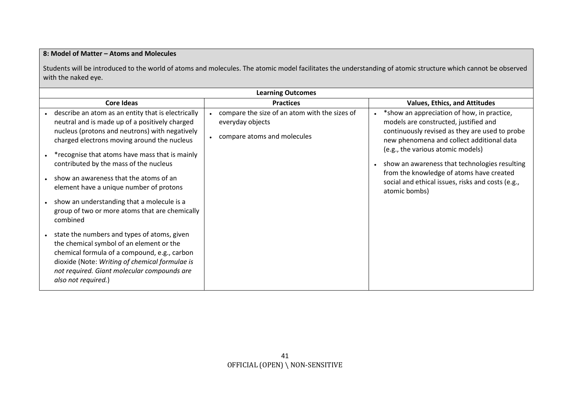# **8: Model of Matter – Atoms and Molecules**

Students will be introduced to the world of atoms and molecules. The atomic model facilitates the understanding of atomic structure which cannot be observed with the naked eye.

| <b>Learning Outcomes</b>                                                                                                                                                                                                                                        |                                                                                                  |                                                                                                                                                                                                                         |  |  |  |
|-----------------------------------------------------------------------------------------------------------------------------------------------------------------------------------------------------------------------------------------------------------------|--------------------------------------------------------------------------------------------------|-------------------------------------------------------------------------------------------------------------------------------------------------------------------------------------------------------------------------|--|--|--|
| <b>Core Ideas</b>                                                                                                                                                                                                                                               | <b>Practices</b>                                                                                 | <b>Values, Ethics, and Attitudes</b>                                                                                                                                                                                    |  |  |  |
| describe an atom as an entity that is electrically<br>neutral and is made up of a positively charged<br>nucleus (protons and neutrons) with negatively<br>charged electrons moving around the nucleus                                                           | compare the size of an atom with the sizes of<br>everyday objects<br>compare atoms and molecules | *show an appreciation of how, in practice,<br>models are constructed, justified and<br>continuously revised as they are used to probe<br>new phenomena and collect additional data<br>(e.g., the various atomic models) |  |  |  |
| *recognise that atoms have mass that is mainly<br>contributed by the mass of the nucleus                                                                                                                                                                        |                                                                                                  | show an awareness that technologies resulting                                                                                                                                                                           |  |  |  |
| • show an awareness that the atoms of an<br>element have a unique number of protons                                                                                                                                                                             |                                                                                                  | from the knowledge of atoms have created<br>social and ethical issues, risks and costs (e.g.,<br>atomic bombs)                                                                                                          |  |  |  |
| show an understanding that a molecule is a<br>group of two or more atoms that are chemically<br>combined                                                                                                                                                        |                                                                                                  |                                                                                                                                                                                                                         |  |  |  |
| state the numbers and types of atoms, given<br>the chemical symbol of an element or the<br>chemical formula of a compound, e.g., carbon<br>dioxide (Note: Writing of chemical formulae is<br>not required. Giant molecular compounds are<br>also not required.) |                                                                                                  |                                                                                                                                                                                                                         |  |  |  |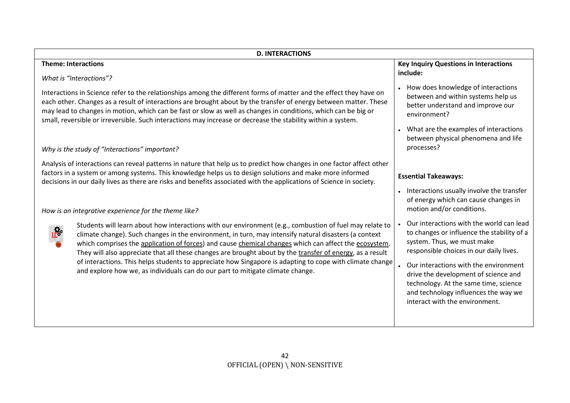| <b>D. INTERACTIONS</b>                                                                                                                                                                                                                                                                                                                                                                                                                                                                                                                                                                                                                |                                                                                                                                                                                                                                                                           |  |  |  |  |  |  |
|---------------------------------------------------------------------------------------------------------------------------------------------------------------------------------------------------------------------------------------------------------------------------------------------------------------------------------------------------------------------------------------------------------------------------------------------------------------------------------------------------------------------------------------------------------------------------------------------------------------------------------------|---------------------------------------------------------------------------------------------------------------------------------------------------------------------------------------------------------------------------------------------------------------------------|--|--|--|--|--|--|
| <b>Theme: Interactions</b>                                                                                                                                                                                                                                                                                                                                                                                                                                                                                                                                                                                                            | <b>Key Inquiry Questions in Interactions</b>                                                                                                                                                                                                                              |  |  |  |  |  |  |
| What is "Interactions"?                                                                                                                                                                                                                                                                                                                                                                                                                                                                                                                                                                                                               | include:                                                                                                                                                                                                                                                                  |  |  |  |  |  |  |
| Interactions in Science refer to the relationships among the different forms of matter and the effect they have on<br>each other. Changes as a result of interactions are brought about by the transfer of energy between matter. These<br>may lead to changes in motion, which can be fast or slow as well as changes in conditions, which can be big or<br>small, reversible or irreversible. Such interactions may increase or decrease the stability within a system.                                                                                                                                                             | How does knowledge of interactions<br>between and within systems help us<br>better understand and improve our<br>environment?                                                                                                                                             |  |  |  |  |  |  |
| Why is the study of "Interactions" important?                                                                                                                                                                                                                                                                                                                                                                                                                                                                                                                                                                                         | • What are the examples of interactions<br>between physical phenomena and life<br>processes?                                                                                                                                                                              |  |  |  |  |  |  |
| Analysis of interactions can reveal patterns in nature that help us to predict how changes in one factor affect other<br>factors in a system or among systems. This knowledge helps us to design solutions and make more informed<br>decisions in our daily lives as there are risks and benefits associated with the applications of Science in society.<br>How is an integrative experience for the theme like?<br>Students will learn about how interactions with our environment (e.g., combustion of fuel may relate to<br>climate change). Such changes in the environment, in turn, may intensify natural disasters (a context | <b>Essential Takeaways:</b><br>• Interactions usually involve the transfer<br>of energy which can cause changes in<br>motion and/or conditions.<br>Our interactions with the world can lead<br>to changes or influence the stability of a                                 |  |  |  |  |  |  |
| which comprises the application of forces) and cause chemical changes which can affect the ecosystem.<br>They will also appreciate that all these changes are brought about by the transfer of energy, as a result<br>of interactions. This helps students to appreciate how Singapore is adapting to cope with climate change<br>and explore how we, as individuals can do our part to mitigate climate change.                                                                                                                                                                                                                      | system. Thus, we must make<br>responsible choices in our daily lives.<br>Our interactions with the environment<br>drive the development of science and<br>technology. At the same time, science<br>and technology influences the way we<br>interact with the environment. |  |  |  |  |  |  |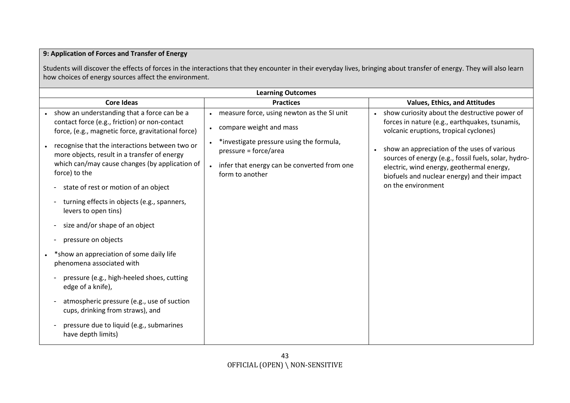# **9: Application of Forces and Transfer of Energy**

Students will discover the effects of forces in the interactions that they encounter in their everyday lives, bringing about transfer of energy. They will also learn how choices of energy sources affect the environment.

| <b>Learning Outcomes</b>                                                                                                                                                                                                                                                                                                                                                                                                                                                                                                                                                |  |                                                                                                                                       |           |                                                                                                                                                                                                                         |  |
|-------------------------------------------------------------------------------------------------------------------------------------------------------------------------------------------------------------------------------------------------------------------------------------------------------------------------------------------------------------------------------------------------------------------------------------------------------------------------------------------------------------------------------------------------------------------------|--|---------------------------------------------------------------------------------------------------------------------------------------|-----------|-------------------------------------------------------------------------------------------------------------------------------------------------------------------------------------------------------------------------|--|
| <b>Core Ideas</b>                                                                                                                                                                                                                                                                                                                                                                                                                                                                                                                                                       |  | <b>Practices</b>                                                                                                                      |           | <b>Values, Ethics, and Attitudes</b>                                                                                                                                                                                    |  |
| • show an understanding that a force can be a<br>contact force (e.g., friction) or non-contact<br>force, (e.g., magnetic force, gravitational force)                                                                                                                                                                                                                                                                                                                                                                                                                    |  | • measure force, using newton as the SI unit<br>• compare weight and mass                                                             |           | • show curiosity about the destructive power of<br>forces in nature (e.g., earthquakes, tsunamis,<br>volcanic eruptions, tropical cyclones)                                                                             |  |
| recognise that the interactions between two or<br>more objects, result in a transfer of energy<br>which can/may cause changes (by application of<br>force) to the<br>state of rest or motion of an object<br>turning effects in objects (e.g., spanners,<br>levers to open tins)<br>size and/or shape of an object<br>pressure on objects<br>*show an appreciation of some daily life<br>phenomena associated with<br>pressure (e.g., high-heeled shoes, cutting<br>edge of a knife),<br>atmospheric pressure (e.g., use of suction<br>cups, drinking from straws), and |  | *investigate pressure using the formula,<br>pressure = force/area<br>• infer that energy can be converted from one<br>form to another | $\bullet$ | show an appreciation of the uses of various<br>sources of energy (e.g., fossil fuels, solar, hydro-<br>electric, wind energy, geothermal energy,<br>biofuels and nuclear energy) and their impact<br>on the environment |  |
| pressure due to liquid (e.g., submarines<br>have depth limits)                                                                                                                                                                                                                                                                                                                                                                                                                                                                                                          |  |                                                                                                                                       |           |                                                                                                                                                                                                                         |  |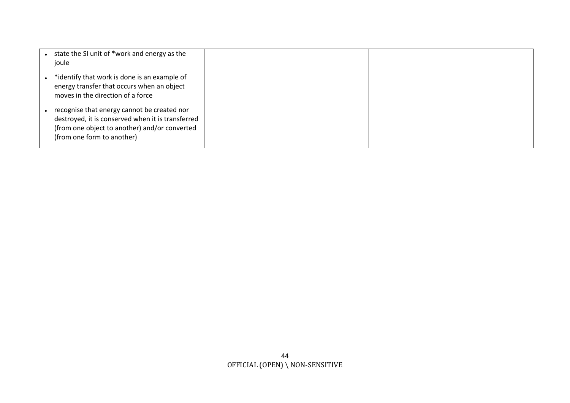| state the SI unit of *work and energy as the<br>joule                                                                                                                           |
|---------------------------------------------------------------------------------------------------------------------------------------------------------------------------------|
| • *identify that work is done is an example of<br>energy transfer that occurs when an object<br>moves in the direction of a force                                               |
| recognise that energy cannot be created nor<br>destroyed, it is conserved when it is transferred<br>(from one object to another) and/or converted<br>(from one form to another) |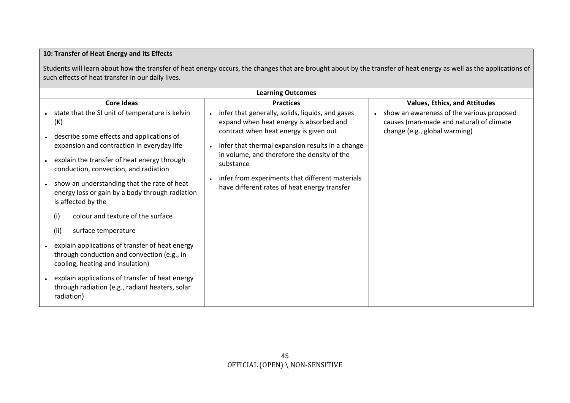# **10: Transfer of Heat Energy and its Effects**

Students will learn about how the transfer of heat energy occurs, the changes that are brought about by the transfer of heat energy as well as the applications of such effects of heat transfer in our daily lives.

|                   | <b>Learning Outcomes</b>                                                                                                           |                  |                                                                                                                                       |  |                                                                                                                        |  |
|-------------------|------------------------------------------------------------------------------------------------------------------------------------|------------------|---------------------------------------------------------------------------------------------------------------------------------------|--|------------------------------------------------------------------------------------------------------------------------|--|
| <b>Core Ideas</b> |                                                                                                                                    | <b>Practices</b> |                                                                                                                                       |  | <b>Values, Ethics, and Attitudes</b>                                                                                   |  |
|                   | state that the SI unit of temperature is kelvin<br>(K)                                                                             |                  | infer that generally, solids, liquids, and gases<br>expand when heat energy is absorbed and<br>contract when heat energy is given out |  | show an awareness of the various proposed<br>causes (man-made and natural) of climate<br>change (e.g., global warming) |  |
|                   | describe some effects and applications of<br>expansion and contraction in everyday life                                            |                  | infer that thermal expansion results in a change<br>in volume, and therefore the density of the                                       |  |                                                                                                                        |  |
|                   | explain the transfer of heat energy through<br>conduction, convection, and radiation                                               |                  | substance                                                                                                                             |  |                                                                                                                        |  |
|                   | show an understanding that the rate of heat<br>energy loss or gain by a body through radiation<br>is affected by the               |                  | infer from experiments that different materials<br>have different rates of heat energy transfer                                       |  |                                                                                                                        |  |
|                   | colour and texture of the surface<br>(i)                                                                                           |                  |                                                                                                                                       |  |                                                                                                                        |  |
|                   | (iii)<br>surface temperature                                                                                                       |                  |                                                                                                                                       |  |                                                                                                                        |  |
|                   | explain applications of transfer of heat energy<br>through conduction and convection (e.g., in<br>cooling, heating and insulation) |                  |                                                                                                                                       |  |                                                                                                                        |  |
|                   | explain applications of transfer of heat energy<br>through radiation (e.g., radiant heaters, solar<br>radiation)                   |                  |                                                                                                                                       |  |                                                                                                                        |  |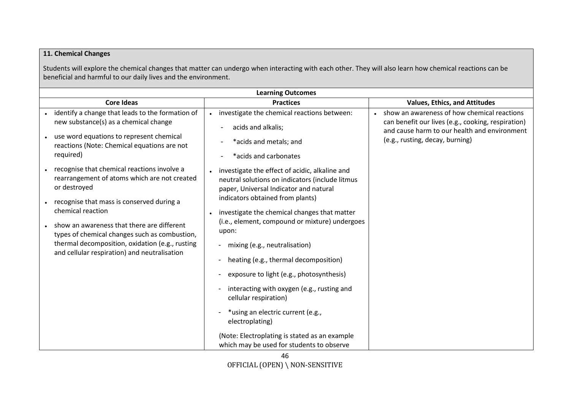# **11. Chemical Changes**

Students will explore the chemical changes that matter can undergo when interacting with each other. They will also learn how chemical reactions can be beneficial and harmful to our daily lives and the environment.

| <b>Learning Outcomes</b>                                                                                                                       |  |                                                                                                                                             |  |                                                                                                     |  |
|------------------------------------------------------------------------------------------------------------------------------------------------|--|---------------------------------------------------------------------------------------------------------------------------------------------|--|-----------------------------------------------------------------------------------------------------|--|
| <b>Core Ideas</b>                                                                                                                              |  | <b>Practices</b>                                                                                                                            |  | <b>Values, Ethics, and Attitudes</b>                                                                |  |
| identify a change that leads to the formation of<br>new substance(s) as a chemical change                                                      |  | • investigate the chemical reactions between:<br>acids and alkalis;<br>$\overline{\phantom{a}}$                                             |  | • show an awareness of how chemical reactions<br>can benefit our lives (e.g., cooking, respiration) |  |
| use word equations to represent chemical<br>reactions (Note: Chemical equations are not<br>required)                                           |  | *acids and metals; and<br>*acids and carbonates                                                                                             |  | and cause harm to our health and environment<br>(e.g., rusting, decay, burning)                     |  |
| recognise that chemical reactions involve a<br>rearrangement of atoms which are not created<br>or destroyed                                    |  | investigate the effect of acidic, alkaline and<br>neutral solutions on indicators (include litmus<br>paper, Universal Indicator and natural |  |                                                                                                     |  |
| recognise that mass is conserved during a<br>chemical reaction                                                                                 |  | indicators obtained from plants)<br>investigate the chemical changes that matter                                                            |  |                                                                                                     |  |
| show an awareness that there are different<br>types of chemical changes such as combustion,<br>thermal decomposition, oxidation (e.g., rusting |  | (i.e., element, compound or mixture) undergoes<br>upon:<br>mixing (e.g., neutralisation)<br>$\blacksquare$                                  |  |                                                                                                     |  |
| and cellular respiration) and neutralisation                                                                                                   |  | heating (e.g., thermal decomposition)<br>-                                                                                                  |  |                                                                                                     |  |
|                                                                                                                                                |  | exposure to light (e.g., photosynthesis)                                                                                                    |  |                                                                                                     |  |
|                                                                                                                                                |  | interacting with oxygen (e.g., rusting and<br>cellular respiration)                                                                         |  |                                                                                                     |  |
|                                                                                                                                                |  | *using an electric current (e.g.,<br>electroplating)                                                                                        |  |                                                                                                     |  |
|                                                                                                                                                |  | (Note: Electroplating is stated as an example<br>which may be used for students to observe                                                  |  |                                                                                                     |  |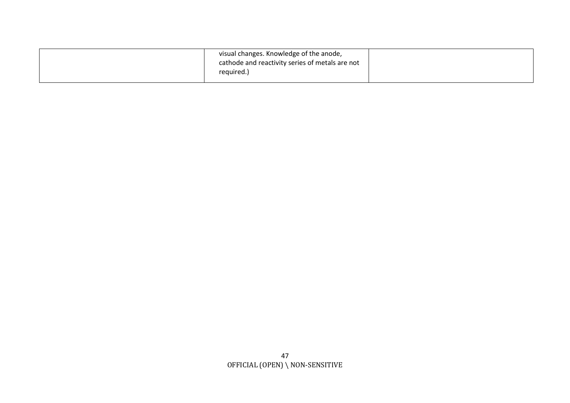| visual changes. Knowledge of the anode,         |  |
|-------------------------------------------------|--|
| cathode and reactivity series of metals are not |  |
| required.)                                      |  |
|                                                 |  |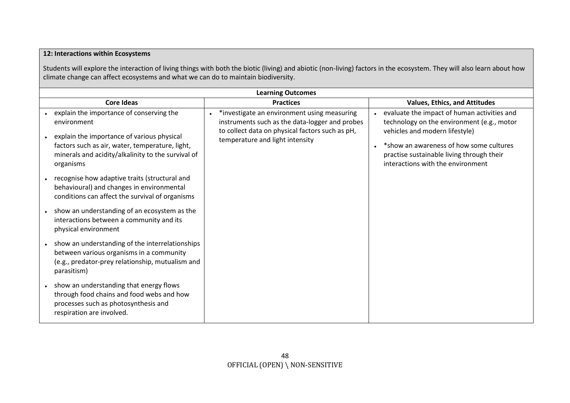# **12: Interactions within Ecosystems**

Students will explore the interaction of living things with both the biotic (living) and abiotic (non-living) factors in the ecosystem. They will also learn about how climate change can affect ecosystems and what we can do to maintain biodiversity.

| <b>Learning Outcomes</b>                                                                                                                                                                                                      |                                                                                                                                                                                     |                                                                                                                                                                                                                                                            |  |  |
|-------------------------------------------------------------------------------------------------------------------------------------------------------------------------------------------------------------------------------|-------------------------------------------------------------------------------------------------------------------------------------------------------------------------------------|------------------------------------------------------------------------------------------------------------------------------------------------------------------------------------------------------------------------------------------------------------|--|--|
| <b>Core Ideas</b>                                                                                                                                                                                                             | <b>Practices</b>                                                                                                                                                                    | <b>Values, Ethics, and Attitudes</b>                                                                                                                                                                                                                       |  |  |
| • explain the importance of conserving the<br>environment<br>explain the importance of various physical<br>factors such as air, water, temperature, light,<br>minerals and acidity/alkalinity to the survival of<br>organisms | *investigate an environment using measuring<br>instruments such as the data-logger and probes<br>to collect data on physical factors such as pH,<br>temperature and light intensity | • evaluate the impact of human activities and<br>technology on the environment (e.g., motor<br>vehicles and modern lifestyle)<br>*show an awareness of how some cultures<br>practise sustainable living through their<br>interactions with the environment |  |  |
| • recognise how adaptive traits (structural and<br>behavioural) and changes in environmental<br>conditions can affect the survival of organisms                                                                               |                                                                                                                                                                                     |                                                                                                                                                                                                                                                            |  |  |
| • show an understanding of an ecosystem as the<br>interactions between a community and its<br>physical environment                                                                                                            |                                                                                                                                                                                     |                                                                                                                                                                                                                                                            |  |  |
| • show an understanding of the interrelationships<br>between various organisms in a community<br>(e.g., predator-prey relationship, mutualism and<br>parasitism)                                                              |                                                                                                                                                                                     |                                                                                                                                                                                                                                                            |  |  |
| show an understanding that energy flows<br>through food chains and food webs and how<br>processes such as photosynthesis and<br>respiration are involved.                                                                     |                                                                                                                                                                                     |                                                                                                                                                                                                                                                            |  |  |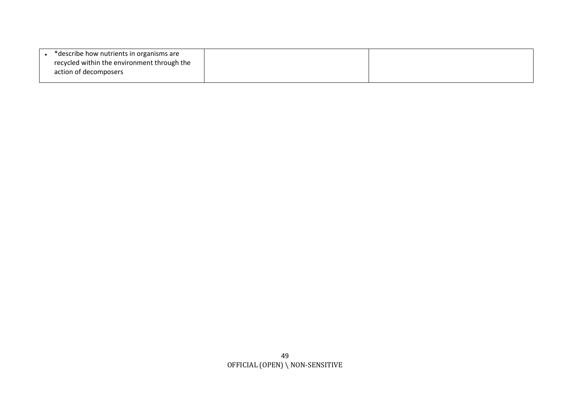| *describe how nutrients in organisms are    |  |
|---------------------------------------------|--|
| recycled within the environment through the |  |
| action of decomposers                       |  |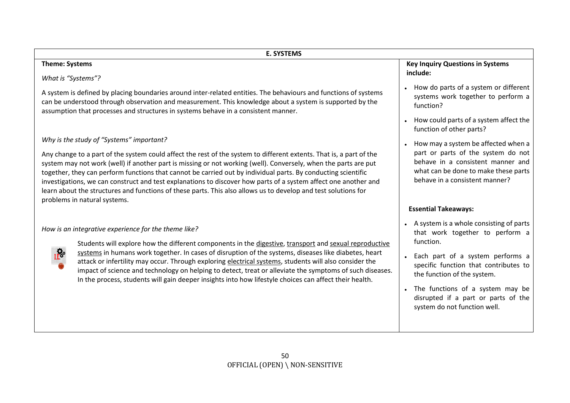| <b>E. SYSTEMS</b>                                                                                                                                                                                                                                                                                                                                                                                                                                                                                                                                                                                                            |                                                                                                                                                   |  |  |  |  |
|------------------------------------------------------------------------------------------------------------------------------------------------------------------------------------------------------------------------------------------------------------------------------------------------------------------------------------------------------------------------------------------------------------------------------------------------------------------------------------------------------------------------------------------------------------------------------------------------------------------------------|---------------------------------------------------------------------------------------------------------------------------------------------------|--|--|--|--|
| <b>Theme: Systems</b>                                                                                                                                                                                                                                                                                                                                                                                                                                                                                                                                                                                                        | <b>Key Inquiry Questions in Systems</b><br>include:                                                                                               |  |  |  |  |
| What is "Systems"?<br>A system is defined by placing boundaries around inter-related entities. The behaviours and functions of systems                                                                                                                                                                                                                                                                                                                                                                                                                                                                                       | How do parts of a system or different                                                                                                             |  |  |  |  |
| can be understood through observation and measurement. This knowledge about a system is supported by the<br>assumption that processes and structures in systems behave in a consistent manner.                                                                                                                                                                                                                                                                                                                                                                                                                               | systems work together to perform a<br>function?                                                                                                   |  |  |  |  |
|                                                                                                                                                                                                                                                                                                                                                                                                                                                                                                                                                                                                                              | How could parts of a system affect the<br>function of other parts?                                                                                |  |  |  |  |
| Why is the study of "Systems" important?                                                                                                                                                                                                                                                                                                                                                                                                                                                                                                                                                                                     | How may a system be affected when a                                                                                                               |  |  |  |  |
| Any change to a part of the system could affect the rest of the system to different extents. That is, a part of the<br>system may not work (well) if another part is missing or not working (well). Conversely, when the parts are put<br>together, they can perform functions that cannot be carried out by individual parts. By conducting scientific<br>investigations, we can construct and test explanations to discover how parts of a system affect one another and<br>learn about the structures and functions of these parts. This also allows us to develop and test solutions for<br>problems in natural systems. | part or parts of the system do not<br>behave in a consistent manner and<br>what can be done to make these parts<br>behave in a consistent manner? |  |  |  |  |
|                                                                                                                                                                                                                                                                                                                                                                                                                                                                                                                                                                                                                              | <b>Essential Takeaways:</b>                                                                                                                       |  |  |  |  |
| How is an integrative experience for the theme like?<br>Students will explore how the different components in the digestive, transport and sexual reproductive                                                                                                                                                                                                                                                                                                                                                                                                                                                               | A system is a whole consisting of parts<br>that work together to perform a<br>function.                                                           |  |  |  |  |
| $\mathbf{E}^{\mathbf{Q}_o}$<br>systems in humans work together. In cases of disruption of the systems, diseases like diabetes, heart<br>attack or infertility may occur. Through exploring electrical systems, students will also consider the<br>impact of science and technology on helping to detect, treat or alleviate the symptoms of such diseases.<br>In the process, students will gain deeper insights into how lifestyle choices can affect their health.                                                                                                                                                         | Each part of a system performs a<br>specific function that contributes to<br>the function of the system.                                          |  |  |  |  |
|                                                                                                                                                                                                                                                                                                                                                                                                                                                                                                                                                                                                                              | The functions of a system may be<br>disrupted if a part or parts of the<br>system do not function well.                                           |  |  |  |  |
|                                                                                                                                                                                                                                                                                                                                                                                                                                                                                                                                                                                                                              |                                                                                                                                                   |  |  |  |  |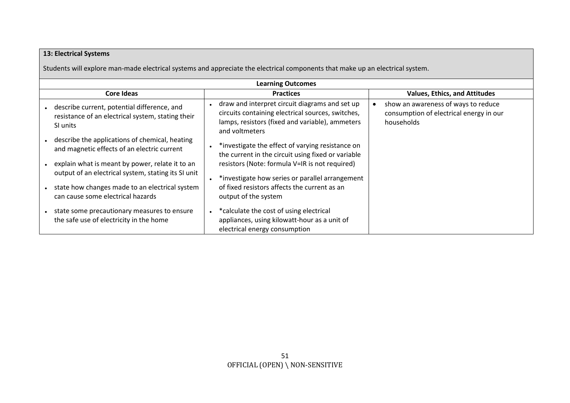# **13: Electrical Systems**

Students will explore man-made electrical systems and appreciate the electrical components that make up an electrical system.

| <b>Learning Outcomes</b>                                                                                     |  |                                                                                                                                                                          |  |                                                                                              |  |
|--------------------------------------------------------------------------------------------------------------|--|--------------------------------------------------------------------------------------------------------------------------------------------------------------------------|--|----------------------------------------------------------------------------------------------|--|
| <b>Core Ideas</b>                                                                                            |  | <b>Practices</b>                                                                                                                                                         |  | <b>Values, Ethics, and Attitudes</b>                                                         |  |
| describe current, potential difference, and<br>resistance of an electrical system, stating their<br>SI units |  | draw and interpret circuit diagrams and set up<br>circuits containing electrical sources, switches,<br>lamps, resistors (fixed and variable), ammeters<br>and voltmeters |  | show an awareness of ways to reduce<br>consumption of electrical energy in our<br>households |  |
| describe the applications of chemical, heating<br>and magnetic effects of an electric current                |  | *investigate the effect of varying resistance on<br>the current in the circuit using fixed or variable                                                                   |  |                                                                                              |  |
| explain what is meant by power, relate it to an<br>output of an electrical system, stating its SI unit       |  | resistors (Note: formula V=IR is not required)<br>*investigate how series or parallel arrangement                                                                        |  |                                                                                              |  |
| state how changes made to an electrical system<br>can cause some electrical hazards                          |  | of fixed resistors affects the current as an<br>output of the system                                                                                                     |  |                                                                                              |  |
| state some precautionary measures to ensure<br>the safe use of electricity in the home                       |  | *calculate the cost of using electrical<br>appliances, using kilowatt-hour as a unit of<br>electrical energy consumption                                                 |  |                                                                                              |  |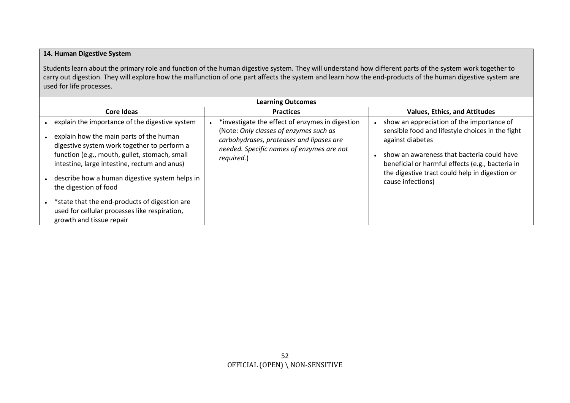# **14. Human Digestive System**

Students learn about the primary role and function of the human digestive system. They will understand how different parts of the system work together to carry out digestion. They will explore how the malfunction of one part affects the system and learn how the end-products of the human digestive system are used for life processes.

| <b>Learning Outcomes</b>                                                                                                                                                                                                                                                                                                                                                                                                                           |                                                                                                                                                                                                  |                                                                                                                                                                                                                                                                                            |  |  |
|----------------------------------------------------------------------------------------------------------------------------------------------------------------------------------------------------------------------------------------------------------------------------------------------------------------------------------------------------------------------------------------------------------------------------------------------------|--------------------------------------------------------------------------------------------------------------------------------------------------------------------------------------------------|--------------------------------------------------------------------------------------------------------------------------------------------------------------------------------------------------------------------------------------------------------------------------------------------|--|--|
| <b>Core Ideas</b>                                                                                                                                                                                                                                                                                                                                                                                                                                  | <b>Practices</b>                                                                                                                                                                                 | <b>Values, Ethics, and Attitudes</b>                                                                                                                                                                                                                                                       |  |  |
| explain the importance of the digestive system<br>explain how the main parts of the human<br>digestive system work together to perform a<br>function (e.g., mouth, gullet, stomach, small<br>intestine, large intestine, rectum and anus)<br>describe how a human digestive system helps in<br>the digestion of food<br>*state that the end-products of digestion are<br>used for cellular processes like respiration,<br>growth and tissue repair | *investigate the effect of enzymes in digestion<br>(Note: Only classes of enzymes such as<br>carbohydrases, proteases and lipases are<br>needed. Specific names of enzymes are not<br>required.) | show an appreciation of the importance of<br>sensible food and lifestyle choices in the fight<br>against diabetes<br>show an awareness that bacteria could have<br>beneficial or harmful effects (e.g., bacteria in<br>the digestive tract could help in digestion or<br>cause infections) |  |  |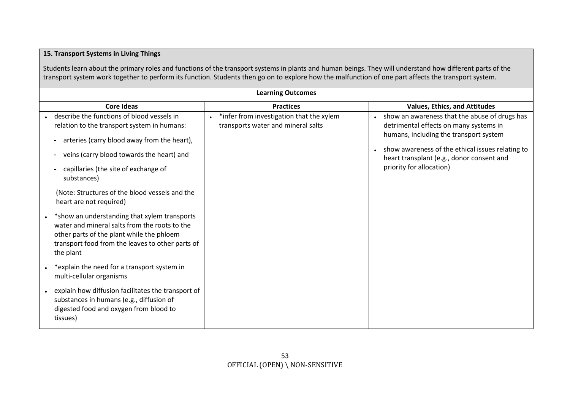# **15. Transport Systems in Living Things**

Students learn about the primary roles and functions of the transport systems in plants and human beings. They will understand how different parts of the transport system work together to perform its function. Students then go on to explore how the malfunction of one part affects the transport system.

| <b>Learning Outcomes</b>                                                                                                                                                                                                                     |                                                                                |                                                                                                                                                                                                                                                                    |  |  |
|----------------------------------------------------------------------------------------------------------------------------------------------------------------------------------------------------------------------------------------------|--------------------------------------------------------------------------------|--------------------------------------------------------------------------------------------------------------------------------------------------------------------------------------------------------------------------------------------------------------------|--|--|
| <b>Core Ideas</b>                                                                                                                                                                                                                            | <b>Practices</b>                                                               | <b>Values, Ethics, and Attitudes</b>                                                                                                                                                                                                                               |  |  |
| describe the functions of blood vessels in<br>relation to the transport system in humans:<br>arteries (carry blood away from the heart),<br>veins (carry blood towards the heart) and<br>capillaries (the site of exchange of<br>substances) | *infer from investigation that the xylem<br>transports water and mineral salts | • show an awareness that the abuse of drugs has<br>detrimental effects on many systems in<br>humans, including the transport system<br>• show awareness of the ethical issues relating to<br>heart transplant (e.g., donor consent and<br>priority for allocation) |  |  |
| (Note: Structures of the blood vessels and the<br>heart are not required)                                                                                                                                                                    |                                                                                |                                                                                                                                                                                                                                                                    |  |  |
| *show an understanding that xylem transports<br>water and mineral salts from the roots to the<br>other parts of the plant while the phloem<br>transport food from the leaves to other parts of<br>the plant                                  |                                                                                |                                                                                                                                                                                                                                                                    |  |  |
| *explain the need for a transport system in<br>multi-cellular organisms                                                                                                                                                                      |                                                                                |                                                                                                                                                                                                                                                                    |  |  |
| . explain how diffusion facilitates the transport of<br>substances in humans (e.g., diffusion of<br>digested food and oxygen from blood to<br>tissues)                                                                                       |                                                                                |                                                                                                                                                                                                                                                                    |  |  |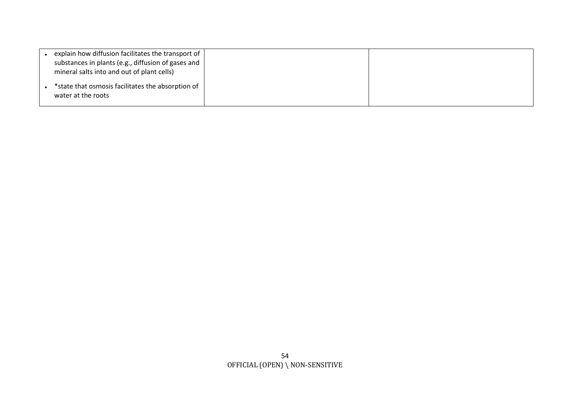| . explain how diffusion facilitates the transport of<br>substances in plants (e.g., diffusion of gases and<br>mineral salts into and out of plant cells) |  |
|----------------------------------------------------------------------------------------------------------------------------------------------------------|--|
| *state that osmosis facilitates the absorption of<br>water at the roots                                                                                  |  |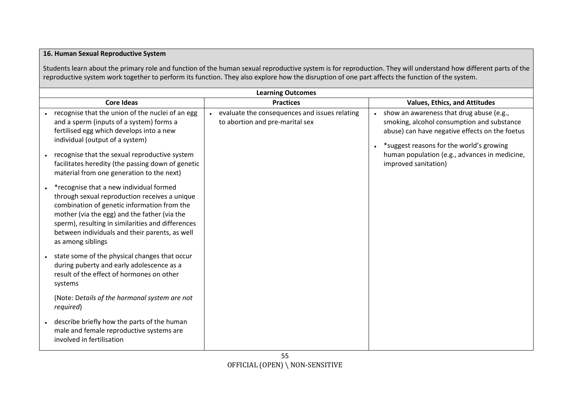# **16. Human Sexual Reproductive System**

Students learn about the primary role and function of the human sexual reproductive system is for reproduction. They will understand how different parts of the reproductive system work together to perform its function. They also explore how the disruption of one part affects the function of the system.

| <b>Learning Outcomes</b>                                                                                                                                                                                                                                                                                                         |  |                                                                                    |  |                                                                                                                                                                                                                                                               |
|----------------------------------------------------------------------------------------------------------------------------------------------------------------------------------------------------------------------------------------------------------------------------------------------------------------------------------|--|------------------------------------------------------------------------------------|--|---------------------------------------------------------------------------------------------------------------------------------------------------------------------------------------------------------------------------------------------------------------|
| <b>Core Ideas</b>                                                                                                                                                                                                                                                                                                                |  | <b>Practices</b>                                                                   |  | <b>Values, Ethics, and Attitudes</b>                                                                                                                                                                                                                          |
| • recognise that the union of the nuclei of an egg<br>and a sperm (inputs of a system) forms a<br>fertilised egg which develops into a new<br>individual (output of a system)<br>recognise that the sexual reproductive system<br>facilitates heredity (the passing down of genetic<br>material from one generation to the next) |  | • evaluate the consequences and issues relating<br>to abortion and pre-marital sex |  | show an awareness that drug abuse (e.g.,<br>smoking, alcohol consumption and substance<br>abuse) can have negative effects on the foetus<br>*suggest reasons for the world's growing<br>human population (e.g., advances in medicine,<br>improved sanitation) |
| *recognise that a new individual formed<br>through sexual reproduction receives a unique<br>combination of genetic information from the<br>mother (via the egg) and the father (via the<br>sperm), resulting in similarities and differences<br>between individuals and their parents, as well<br>as among siblings              |  |                                                                                    |  |                                                                                                                                                                                                                                                               |
| • state some of the physical changes that occur<br>during puberty and early adolescence as a<br>result of the effect of hormones on other<br>systems                                                                                                                                                                             |  |                                                                                    |  |                                                                                                                                                                                                                                                               |
| (Note: Details of the hormonal system are not<br>required)                                                                                                                                                                                                                                                                       |  |                                                                                    |  |                                                                                                                                                                                                                                                               |
| • describe briefly how the parts of the human<br>male and female reproductive systems are<br>involved in fertilisation                                                                                                                                                                                                           |  |                                                                                    |  |                                                                                                                                                                                                                                                               |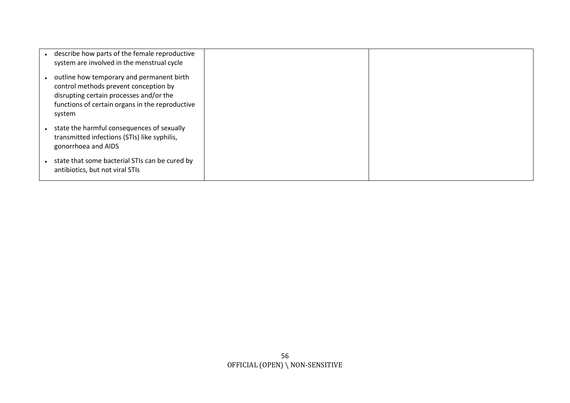| • describe how parts of the female reproductive<br>system are involved in the menstrual cycle                                                                                                |  |
|----------------------------------------------------------------------------------------------------------------------------------------------------------------------------------------------|--|
| • outline how temporary and permanent birth<br>control methods prevent conception by<br>disrupting certain processes and/or the<br>functions of certain organs in the reproductive<br>system |  |
| • state the harmful consequences of sexually<br>transmitted infections (STIs) like syphilis,<br>gonorrhoea and AIDS                                                                          |  |
| • state that some bacterial STIs can be cured by<br>antibiotics, but not viral STIs                                                                                                          |  |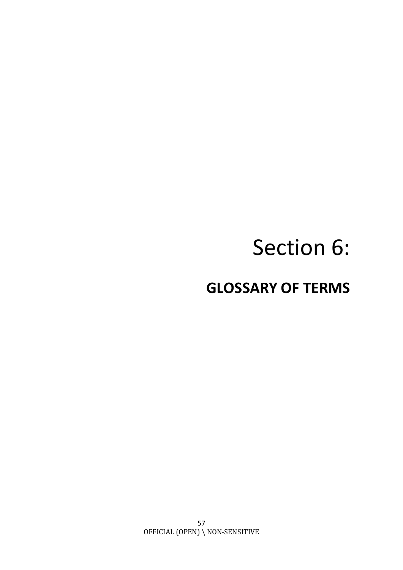# Section 6:

# <span id="page-57-0"></span>**GLOSSARY OF TERMS**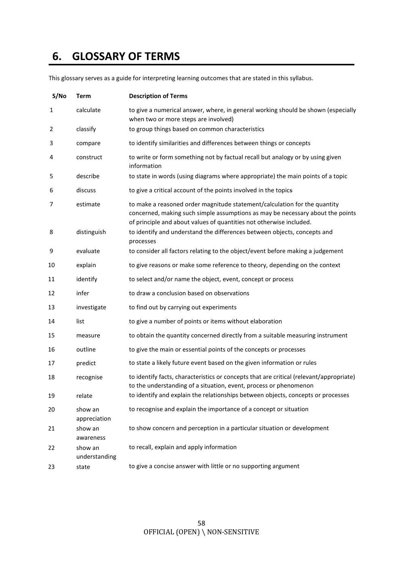# **6. GLOSSARY OF TERMS**

This glossary serves as a guide for interpreting learning outcomes that are stated in this syllabus.

| S/No | <b>Term</b>              | <b>Description of Terms</b>                                                                                                                                                                                                        |
|------|--------------------------|------------------------------------------------------------------------------------------------------------------------------------------------------------------------------------------------------------------------------------|
| 1    | calculate                | to give a numerical answer, where, in general working should be shown (especially<br>when two or more steps are involved)                                                                                                          |
| 2    | classify                 | to group things based on common characteristics                                                                                                                                                                                    |
| 3    | compare                  | to identify similarities and differences between things or concepts                                                                                                                                                                |
| 4    | construct                | to write or form something not by factual recall but analogy or by using given<br>information                                                                                                                                      |
| 5    | describe                 | to state in words (using diagrams where appropriate) the main points of a topic                                                                                                                                                    |
| 6    | discuss                  | to give a critical account of the points involved in the topics                                                                                                                                                                    |
| 7    | estimate                 | to make a reasoned order magnitude statement/calculation for the quantity<br>concerned, making such simple assumptions as may be necessary about the points<br>of principle and about values of quantities not otherwise included. |
| 8    | distinguish              | to identify and understand the differences between objects, concepts and<br>processes                                                                                                                                              |
| 9    | evaluate                 | to consider all factors relating to the object/event before making a judgement                                                                                                                                                     |
| 10   | explain                  | to give reasons or make some reference to theory, depending on the context                                                                                                                                                         |
| 11   | identify                 | to select and/or name the object, event, concept or process                                                                                                                                                                        |
| 12   | infer                    | to draw a conclusion based on observations                                                                                                                                                                                         |
| 13   | investigate              | to find out by carrying out experiments                                                                                                                                                                                            |
| 14   | list                     | to give a number of points or items without elaboration                                                                                                                                                                            |
| 15   | measure                  | to obtain the quantity concerned directly from a suitable measuring instrument                                                                                                                                                     |
| 16   | outline                  | to give the main or essential points of the concepts or processes                                                                                                                                                                  |
| 17   | predict                  | to state a likely future event based on the given information or rules                                                                                                                                                             |
| 18   | recognise                | to identify facts, characteristics or concepts that are critical (relevant/appropriate)<br>to the understanding of a situation, event, process or phenomenon                                                                       |
| 19   | relate                   | to identify and explain the relationships between objects, concepts or processes                                                                                                                                                   |
| 20   | show an<br>appreciation  | to recognise and explain the importance of a concept or situation                                                                                                                                                                  |
| 21   | show an<br>awareness     | to show concern and perception in a particular situation or development                                                                                                                                                            |
| 22   | show an<br>understanding | to recall, explain and apply information                                                                                                                                                                                           |
| 23   | state                    | to give a concise answer with little or no supporting argument                                                                                                                                                                     |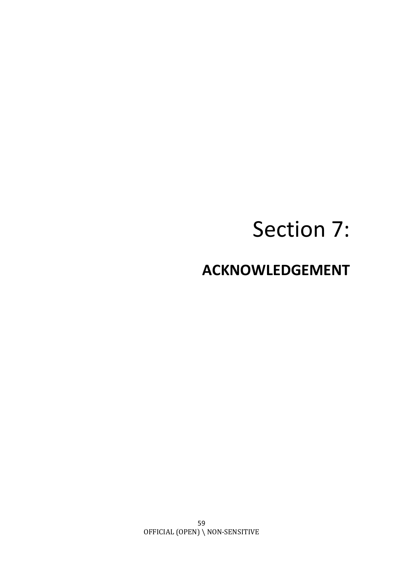# Section 7:

# <span id="page-59-0"></span>**ACKNOWLEDGEMENT**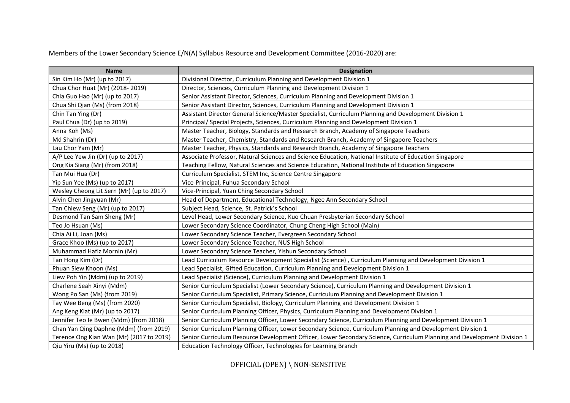Members of the Lower Secondary Science E/N(A) Syllabus Resource and Development Committee (2016-2020) are:

| <b>Name</b>                              | <b>Designation</b>                                                                                                      |
|------------------------------------------|-------------------------------------------------------------------------------------------------------------------------|
| Sin Kim Ho (Mr) (up to 2017)             | Divisional Director, Curriculum Planning and Development Division 1                                                     |
| Chua Chor Huat (Mr) (2018-2019)          | Director, Sciences, Curriculum Planning and Development Division 1                                                      |
| Chia Guo Hao (Mr) (up to 2017)           | Senior Assistant Director, Sciences, Curriculum Planning and Development Division 1                                     |
| Chua Shi Qian (Ms) (from 2018)           | Senior Assistant Director, Sciences, Curriculum Planning and Development Division 1                                     |
| Chin Tan Ying (Dr)                       | Assistant Director General Science/Master Specialist, Curriculum Planning and Development Division 1                    |
| Paul Chua (Dr) (up to 2019)              | Principal/ Special Projects, Sciences, Curriculum Planning and Development Division 1                                   |
| Anna Koh (Ms)                            | Master Teacher, Biology, Standards and Research Branch, Academy of Singapore Teachers                                   |
| Md Shahrin (Dr)                          | Master Teacher, Chemistry, Standards and Research Branch, Academy of Singapore Teachers                                 |
| Lau Chor Yam (Mr)                        | Master Teacher, Physics, Standards and Research Branch, Academy of Singapore Teachers                                   |
| A/P Lee Yew Jin (Dr) (up to 2017)        | Associate Professor, Natural Sciences and Science Education, National Institute of Education Singapore                  |
| Ong Kia Siang (Mr) (from 2018)           | Teaching Fellow, Natural Sciences and Science Education, National Institute of Education Singapore                      |
| Tan Mui Hua (Dr)                         | Curriculum Specialist, STEM Inc, Science Centre Singapore                                                               |
| Yip Sun Yee (Ms) (up to 2017)            | Vice-Principal, Fuhua Secondary School                                                                                  |
| Wesley Cheong Lit Sern (Mr) (up to 2017) | Vice-Principal, Yuan Ching Secondary School                                                                             |
| Alvin Chen Jingyuan (Mr)                 | Head of Department, Educational Technology, Ngee Ann Secondary School                                                   |
| Tan Chiew Seng (Mr) (up to 2017)         | Subject Head, Science, St. Patrick's School                                                                             |
| Desmond Tan Sam Sheng (Mr)               | Level Head, Lower Secondary Science, Kuo Chuan Presbyterian Secondary School                                            |
| Teo Jo Hsuan (Ms)                        | Lower Secondary Science Coordinator, Chung Cheng High School (Main)                                                     |
| Chia Ai Li, Joan (Ms)                    | Lower Secondary Science Teacher, Evergreen Secondary School                                                             |
| Grace Khoo (Ms) (up to 2017)             | Lower Secondary Science Teacher, NUS High School                                                                        |
| Muhammad Hafiz Mornin (Mr)               | Lower Secondary Science Teacher, Yishun Secondary School                                                                |
| Tan Hong Kim (Dr)                        | Lead Curriculum Resource Development Specialist (Science), Curriculum Planning and Development Division 1               |
| Phuan Siew Khoon (Ms)                    | Lead Specialist, Gifted Education, Curriculum Planning and Development Division 1                                       |
| Liew Poh Yin (Mdm) (up to 2019)          | Lead Specialist (Science), Curriculum Planning and Development Division 1                                               |
| Charlene Seah Xinyi (Mdm)                | Senior Curriculum Specialist (Lower Secondary Science), Curriculum Planning and Development Division 1                  |
| Wong Po San (Ms) (from 2019)             | Senior Curriculum Specialist, Primary Science, Curriculum Planning and Development Division 1                           |
| Tay Wee Beng (Ms) (from 2020)            | Senior Curriculum Specialist, Biology, Curriculum Planning and Development Division 1                                   |
| Ang Keng Kiat (Mr) (up to 2017)          | Senior Curriculum Planning Officer, Physics, Curriculum Planning and Development Division 1                             |
| Jennifer Teo le Bwen (Mdm) (from 2018)   | Senior Curriculum Planning Officer, Lower Secondary Science, Curriculum Planning and Development Division 1             |
| Chan Yan Qing Daphne (Mdm) (from 2019)   | Senior Curriculum Planning Officer, Lower Secondary Science, Curriculum Planning and Development Division 1             |
| Terence Ong Kian Wan (Mr) (2017 to 2019) | Senior Curriculum Resource Development Officer, Lower Secondary Science, Curriculum Planning and Development Division 1 |
| Qiu Yiru (Ms) (up to 2018)               | Education Technology Officer, Technologies for Learning Branch                                                          |

OFFICIAL (OPEN) \ NON-SENSITIVE